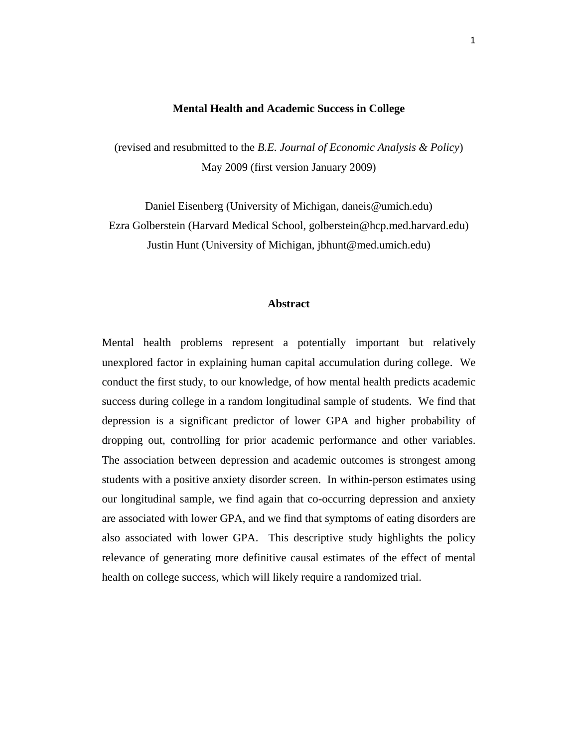### **Mental Health and Academic Success in College**

(revised and resubmitted to the *B.E. Journal of Economic Analysis & Policy*) May 2009 (first version January 2009)

Daniel Eisenberg (University of Michigan, daneis@umich.edu) Ezra Golberstein (Harvard Medical School, golberstein@hcp.med.harvard.edu) Justin Hunt (University of Michigan, jbhunt@med.umich.edu)

### **Abstract**

Mental health problems represent a potentially important but relatively unexplored factor in explaining human capital accumulation during college. We conduct the first study, to our knowledge, of how mental health predicts academic success during college in a random longitudinal sample of students. We find that depression is a significant predictor of lower GPA and higher probability of dropping out, controlling for prior academic performance and other variables. The association between depression and academic outcomes is strongest among students with a positive anxiety disorder screen. In within-person estimates using our longitudinal sample, we find again that co-occurring depression and anxiety are associated with lower GPA, and we find that symptoms of eating disorders are also associated with lower GPA. This descriptive study highlights the policy relevance of generating more definitive causal estimates of the effect of mental health on college success, which will likely require a randomized trial.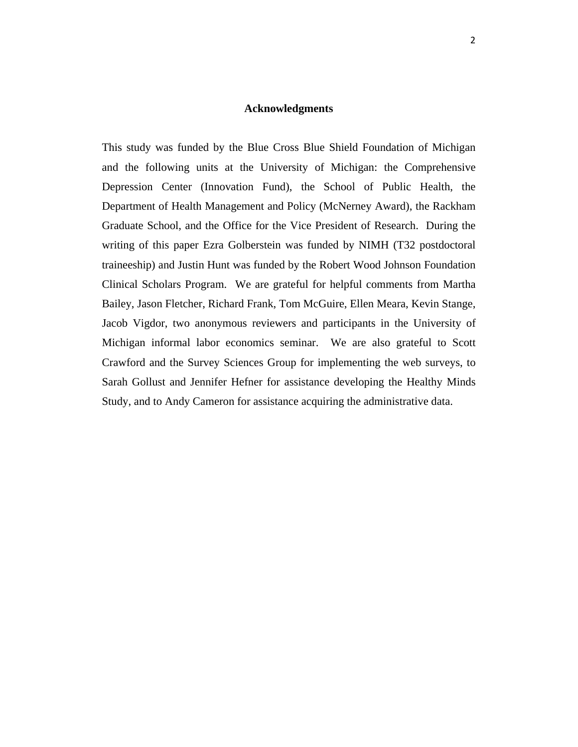### **Acknowledgments**

This study was funded by the Blue Cross Blue Shield Foundation of Michigan and the following units at the University of Michigan: the Comprehensive Depression Center (Innovation Fund), the School of Public Health, the Department of Health Management and Policy (McNerney Award), the Rackham Graduate School, and the Office for the Vice President of Research. During the writing of this paper Ezra Golberstein was funded by NIMH (T32 postdoctoral traineeship) and Justin Hunt was funded by the Robert Wood Johnson Foundation Clinical Scholars Program. We are grateful for helpful comments from Martha Bailey, Jason Fletcher, Richard Frank, Tom McGuire, Ellen Meara, Kevin Stange, Jacob Vigdor, two anonymous reviewers and participants in the University of Michigan informal labor economics seminar. We are also grateful to Scott Crawford and the Survey Sciences Group for implementing the web surveys, to Sarah Gollust and Jennifer Hefner for assistance developing the Healthy Minds Study, and to Andy Cameron for assistance acquiring the administrative data.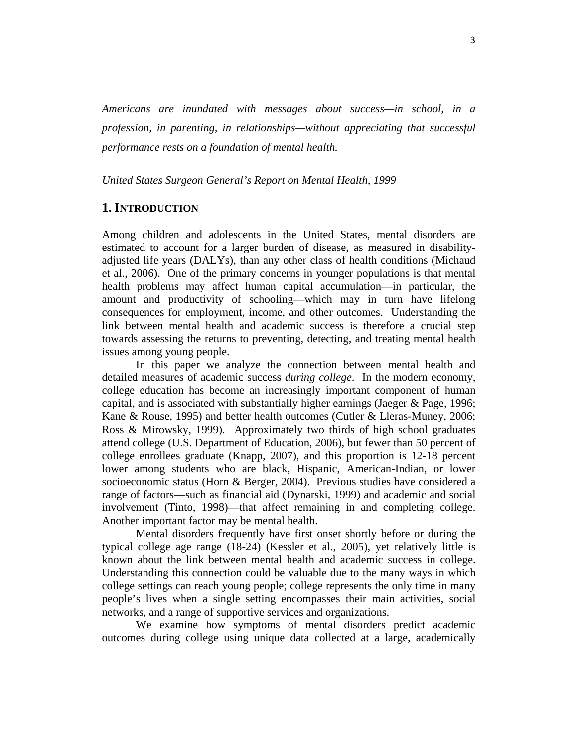*Americans are inundated with messages about success—in school, in a profession, in parenting, in relationships—without appreciating that successful performance rests on a foundation of mental health.* 

*United States Surgeon General's Report on Mental Health, 1999* 

# **1. INTRODUCTION**

Among children and adolescents in the United States, mental disorders are estimated to account for a larger burden of disease, as measured in disabilityadjusted life years (DALYs), than any other class of health conditions (Michaud et al., 2006). One of the primary concerns in younger populations is that mental health problems may affect human capital accumulation—in particular, the amount and productivity of schooling—which may in turn have lifelong consequences for employment, income, and other outcomes. Understanding the link between mental health and academic success is therefore a crucial step towards assessing the returns to preventing, detecting, and treating mental health issues among young people.

In this paper we analyze the connection between mental health and detailed measures of academic success *during college*. In the modern economy, college education has become an increasingly important component of human capital, and is associated with substantially higher earnings (Jaeger & Page, 1996; Kane & Rouse, 1995) and better health outcomes (Cutler & Lleras-Muney, 2006; Ross & Mirowsky, 1999). Approximately two thirds of high school graduates attend college (U.S. Department of Education, 2006), but fewer than 50 percent of college enrollees graduate (Knapp, 2007), and this proportion is 12-18 percent lower among students who are black, Hispanic, American-Indian, or lower socioeconomic status (Horn & Berger, 2004). Previous studies have considered a range of factors—such as financial aid (Dynarski, 1999) and academic and social involvement (Tinto, 1998)—that affect remaining in and completing college. Another important factor may be mental health.

Mental disorders frequently have first onset shortly before or during the typical college age range (18-24) (Kessler et al., 2005), yet relatively little is known about the link between mental health and academic success in college. Understanding this connection could be valuable due to the many ways in which college settings can reach young people; college represents the only time in many people's lives when a single setting encompasses their main activities, social networks, and a range of supportive services and organizations.

We examine how symptoms of mental disorders predict academic outcomes during college using unique data collected at a large, academically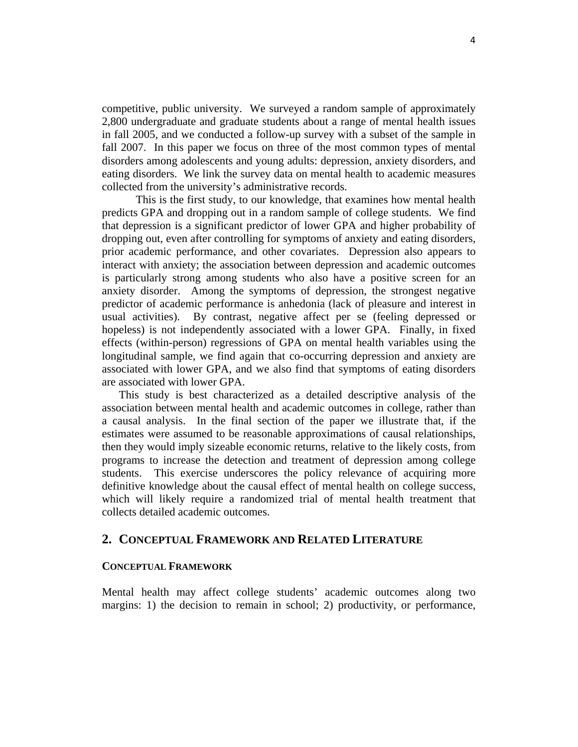competitive, public university. We surveyed a random sample of approximately 2,800 undergraduate and graduate students about a range of mental health issues in fall 2005, and we conducted a follow-up survey with a subset of the sample in fall 2007. In this paper we focus on three of the most common types of mental disorders among adolescents and young adults: depression, anxiety disorders, and eating disorders. We link the survey data on mental health to academic measures collected from the university's administrative records.

This is the first study, to our knowledge, that examines how mental health predicts GPA and dropping out in a random sample of college students. We find that depression is a significant predictor of lower GPA and higher probability of dropping out, even after controlling for symptoms of anxiety and eating disorders, prior academic performance, and other covariates. Depression also appears to interact with anxiety; the association between depression and academic outcomes is particularly strong among students who also have a positive screen for an anxiety disorder. Among the symptoms of depression, the strongest negative predictor of academic performance is anhedonia (lack of pleasure and interest in usual activities). By contrast, negative affect per se (feeling depressed or hopeless) is not independently associated with a lower GPA. Finally, in fixed effects (within-person) regressions of GPA on mental health variables using the longitudinal sample, we find again that co-occurring depression and anxiety are associated with lower GPA, and we also find that symptoms of eating disorders are associated with lower GPA.

This study is best characterized as a detailed descriptive analysis of the association between mental health and academic outcomes in college, rather than a causal analysis. In the final section of the paper we illustrate that, if the estimates were assumed to be reasonable approximations of causal relationships, then they would imply sizeable economic returns, relative to the likely costs, from programs to increase the detection and treatment of depression among college students. This exercise underscores the policy relevance of acquiring more definitive knowledge about the causal effect of mental health on college success, which will likely require a randomized trial of mental health treatment that collects detailed academic outcomes.

# **2. CONCEPTUAL FRAMEWORK AND RELATED LITERATURE**

### **CONCEPTUAL FRAMEWORK**

Mental health may affect college students' academic outcomes along two margins: 1) the decision to remain in school; 2) productivity, or performance,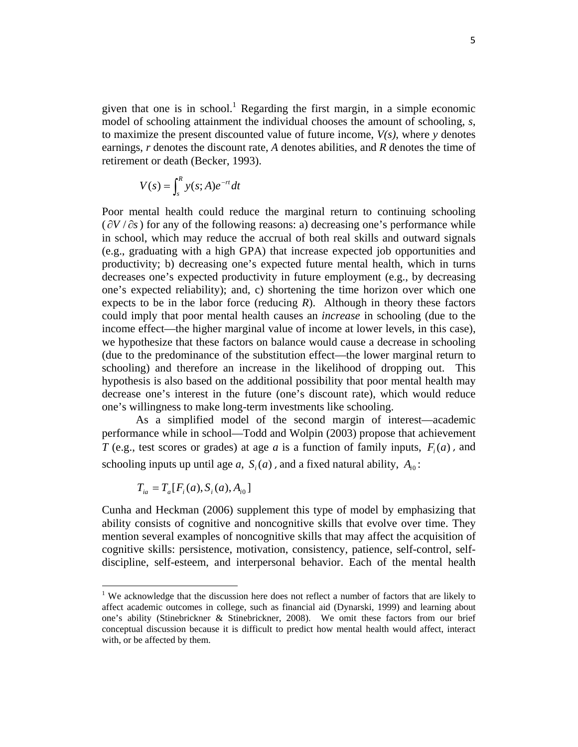given that one is in school.<sup>1</sup> Regarding the first margin, in a simple economic model of schooling attainment the individual chooses the amount of schooling, *s*, to maximize the present discounted value of future income, *V(s)*, where *y* denotes earnings, *r* denotes the discount rate, *A* denotes abilities, and *R* denotes the time of retirement or death (Becker, 1993).

$$
V(s) = \int_s^R y(s;A)e^{-rt}dt
$$

Poor mental health could reduce the marginal return to continuing schooling  $(\partial V/\partial s)$  for any of the following reasons: a) decreasing one's performance while in school, which may reduce the accrual of both real skills and outward signals (e.g., graduating with a high GPA) that increase expected job opportunities and productivity; b) decreasing one's expected future mental health, which in turns decreases one's expected productivity in future employment (e.g., by decreasing one's expected reliability); and, c) shortening the time horizon over which one expects to be in the labor force (reducing  $R$ ). Although in theory these factors could imply that poor mental health causes an *increase* in schooling (due to the income effect—the higher marginal value of income at lower levels, in this case), we hypothesize that these factors on balance would cause a decrease in schooling (due to the predominance of the substitution effect—the lower marginal return to schooling) and therefore an increase in the likelihood of dropping out. This hypothesis is also based on the additional possibility that poor mental health may decrease one's interest in the future (one's discount rate), which would reduce one's willingness to make long-term investments like schooling.

As a simplified model of the second margin of interest—academic performance while in school—Todd and Wolpin (2003) propose that achievement *T* (e.g., test scores or grades) at age *a* is a function of family inputs,  $F<sub>i</sub>(a)$ , and schooling inputs up until age *a*,  $S_i(a)$ , and a fixed natural ability,  $A_i$ <sup>0</sup>:

$$
T_{ia} = T_a[F_i(a), S_i(a), A_{i0}]
$$

Cunha and Heckman (2006) supplement this type of model by emphasizing that ability consists of cognitive and noncognitive skills that evolve over time. They mention several examples of noncognitive skills that may affect the acquisition of cognitive skills: persistence, motivation, consistency, patience, self-control, selfdiscipline, self-esteem, and interpersonal behavior. Each of the mental health

<sup>&</sup>lt;sup>1</sup> We acknowledge that the discussion here does not reflect a number of factors that are likely to affect academic outcomes in college, such as financial aid (Dynarski, 1999) and learning about one's ability (Stinebrickner & Stinebrickner, 2008). We omit these factors from our brief conceptual discussion because it is difficult to predict how mental health would affect, interact with, or be affected by them.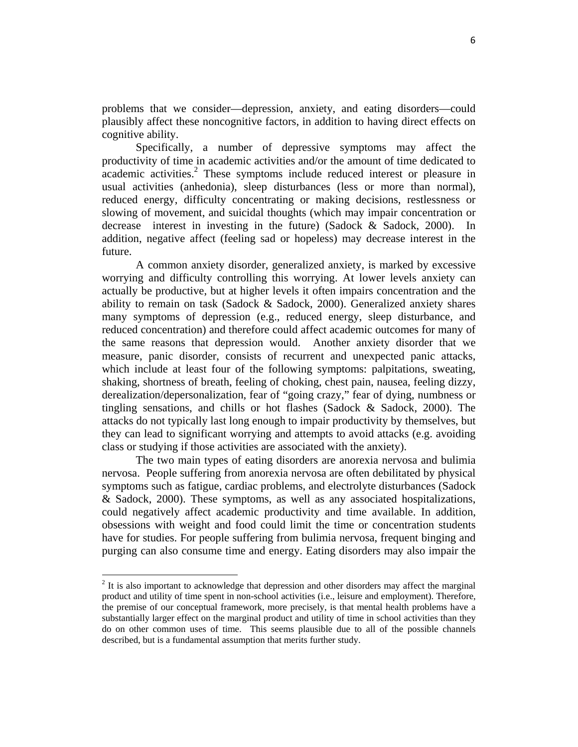problems that we consider—depression, anxiety, and eating disorders—could plausibly affect these noncognitive factors, in addition to having direct effects on cognitive ability.

Specifically, a number of depressive symptoms may affect the productivity of time in academic activities and/or the amount of time dedicated to academic activities.<sup>2</sup> These symptoms include reduced interest or pleasure in usual activities (anhedonia), sleep disturbances (less or more than normal), reduced energy, difficulty concentrating or making decisions, restlessness or slowing of movement, and suicidal thoughts (which may impair concentration or decrease interest in investing in the future) (Sadock & Sadock, 2000). In addition, negative affect (feeling sad or hopeless) may decrease interest in the future.

A common anxiety disorder, generalized anxiety, is marked by excessive worrying and difficulty controlling this worrying. At lower levels anxiety can actually be productive, but at higher levels it often impairs concentration and the ability to remain on task (Sadock & Sadock, 2000). Generalized anxiety shares many symptoms of depression (e.g., reduced energy, sleep disturbance, and reduced concentration) and therefore could affect academic outcomes for many of the same reasons that depression would. Another anxiety disorder that we measure, panic disorder, consists of recurrent and unexpected panic attacks, which include at least four of the following symptoms: palpitations, sweating, shaking, shortness of breath, feeling of choking, chest pain, nausea, feeling dizzy, derealization/depersonalization, fear of "going crazy," fear of dying, numbness or tingling sensations, and chills or hot flashes (Sadock & Sadock, 2000). The attacks do not typically last long enough to impair productivity by themselves, but they can lead to significant worrying and attempts to avoid attacks (e.g. avoiding class or studying if those activities are associated with the anxiety).

The two main types of eating disorders are anorexia nervosa and bulimia nervosa. People suffering from anorexia nervosa are often debilitated by physical symptoms such as fatigue, cardiac problems, and electrolyte disturbances (Sadock & Sadock, 2000). These symptoms, as well as any associated hospitalizations, could negatively affect academic productivity and time available. In addition, obsessions with weight and food could limit the time or concentration students have for studies. For people suffering from bulimia nervosa, frequent binging and purging can also consume time and energy. Eating disorders may also impair the

 $2<sup>2</sup>$  It is also important to acknowledge that depression and other disorders may affect the marginal product and utility of time spent in non-school activities (i.e., leisure and employment). Therefore, the premise of our conceptual framework, more precisely, is that mental health problems have a substantially larger effect on the marginal product and utility of time in school activities than they do on other common uses of time. This seems plausible due to all of the possible channels described, but is a fundamental assumption that merits further study.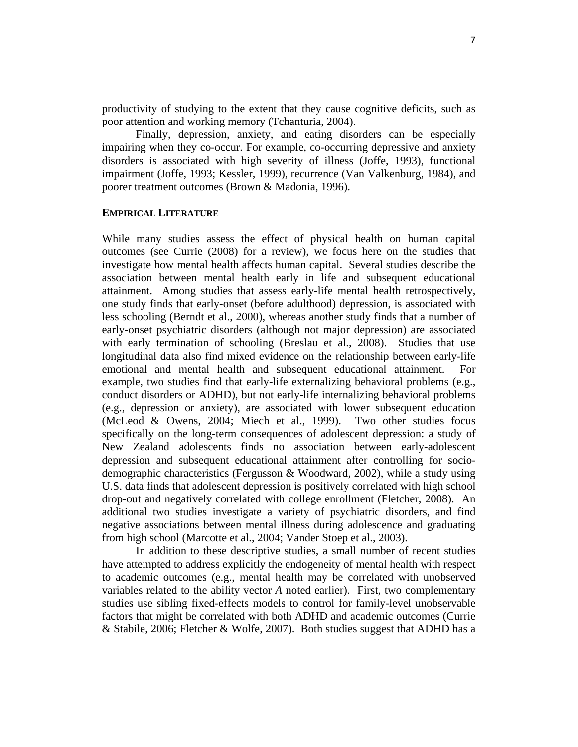productivity of studying to the extent that they cause cognitive deficits, such as poor attention and working memory (Tchanturia, 2004).

Finally, depression, anxiety, and eating disorders can be especially impairing when they co-occur. For example, co-occurring depressive and anxiety disorders is associated with high severity of illness (Joffe, 1993), functional impairment (Joffe, 1993; Kessler, 1999), recurrence (Van Valkenburg, 1984), and poorer treatment outcomes (Brown & Madonia, 1996).

### **EMPIRICAL LITERATURE**

While many studies assess the effect of physical health on human capital outcomes (see Currie (2008) for a review), we focus here on the studies that investigate how mental health affects human capital. Several studies describe the association between mental health early in life and subsequent educational attainment. Among studies that assess early-life mental health retrospectively, one study finds that early-onset (before adulthood) depression, is associated with less schooling (Berndt et al., 2000), whereas another study finds that a number of early-onset psychiatric disorders (although not major depression) are associated with early termination of schooling (Breslau et al., 2008). Studies that use longitudinal data also find mixed evidence on the relationship between early-life emotional and mental health and subsequent educational attainment. For example, two studies find that early-life externalizing behavioral problems (e.g., conduct disorders or ADHD), but not early-life internalizing behavioral problems (e.g., depression or anxiety), are associated with lower subsequent education (McLeod & Owens, 2004; Miech et al., 1999). Two other studies focus specifically on the long-term consequences of adolescent depression: a study of New Zealand adolescents finds no association between early-adolescent depression and subsequent educational attainment after controlling for sociodemographic characteristics (Fergusson & Woodward, 2002), while a study using U.S. data finds that adolescent depression is positively correlated with high school drop-out and negatively correlated with college enrollment (Fletcher, 2008). An additional two studies investigate a variety of psychiatric disorders, and find negative associations between mental illness during adolescence and graduating from high school (Marcotte et al., 2004; Vander Stoep et al., 2003).

In addition to these descriptive studies, a small number of recent studies have attempted to address explicitly the endogeneity of mental health with respect to academic outcomes (e.g., mental health may be correlated with unobserved variables related to the ability vector *A* noted earlier). First, two complementary studies use sibling fixed-effects models to control for family-level unobservable factors that might be correlated with both ADHD and academic outcomes (Currie & Stabile, 2006; Fletcher & Wolfe, 2007). Both studies suggest that ADHD has a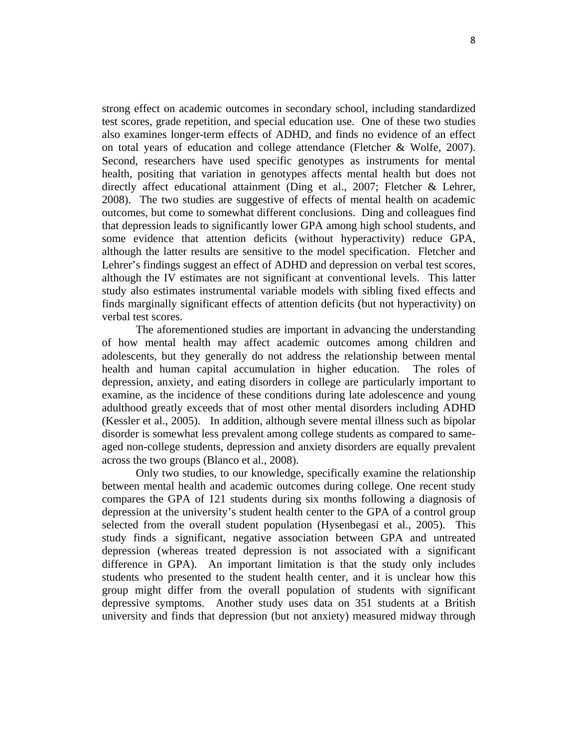strong effect on academic outcomes in secondary school, including standardized test scores, grade repetition, and special education use. One of these two studies also examines longer-term effects of ADHD, and finds no evidence of an effect on total years of education and college attendance (Fletcher & Wolfe, 2007). Second, researchers have used specific genotypes as instruments for mental health, positing that variation in genotypes affects mental health but does not directly affect educational attainment (Ding et al., 2007; Fletcher & Lehrer, 2008). The two studies are suggestive of effects of mental health on academic outcomes, but come to somewhat different conclusions. Ding and colleagues find that depression leads to significantly lower GPA among high school students, and some evidence that attention deficits (without hyperactivity) reduce GPA, although the latter results are sensitive to the model specification. Fletcher and Lehrer's findings suggest an effect of ADHD and depression on verbal test scores, although the IV estimates are not significant at conventional levels. This latter study also estimates instrumental variable models with sibling fixed effects and finds marginally significant effects of attention deficits (but not hyperactivity) on verbal test scores.

The aforementioned studies are important in advancing the understanding of how mental health may affect academic outcomes among children and adolescents, but they generally do not address the relationship between mental health and human capital accumulation in higher education. The roles of depression, anxiety, and eating disorders in college are particularly important to examine, as the incidence of these conditions during late adolescence and young adulthood greatly exceeds that of most other mental disorders including ADHD (Kessler et al., 2005). In addition, although severe mental illness such as bipolar disorder is somewhat less prevalent among college students as compared to sameaged non-college students, depression and anxiety disorders are equally prevalent across the two groups (Blanco et al., 2008).

Only two studies, to our knowledge, specifically examine the relationship between mental health and academic outcomes during college. One recent study compares the GPA of 121 students during six months following a diagnosis of depression at the university's student health center to the GPA of a control group selected from the overall student population (Hysenbegasi et al., 2005). This study finds a significant, negative association between GPA and untreated depression (whereas treated depression is not associated with a significant difference in GPA). An important limitation is that the study only includes students who presented to the student health center, and it is unclear how this group might differ from the overall population of students with significant depressive symptoms. Another study uses data on 351 students at a British university and finds that depression (but not anxiety) measured midway through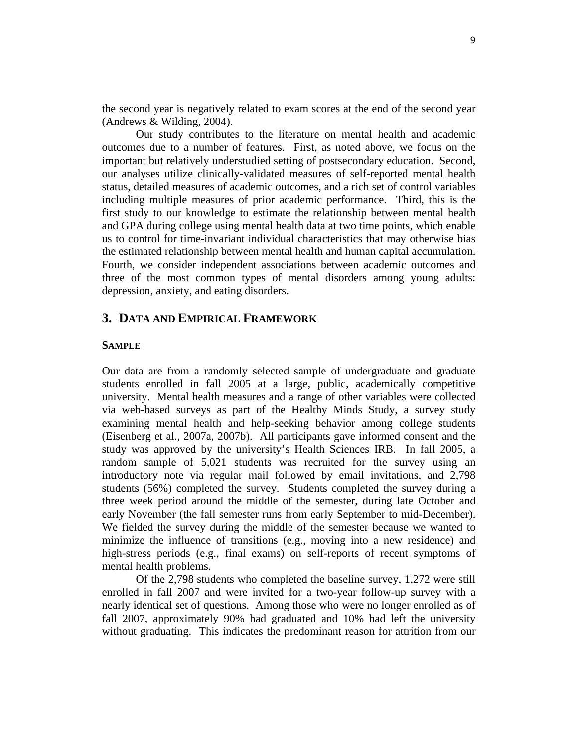the second year is negatively related to exam scores at the end of the second year (Andrews & Wilding, 2004).

 Our study contributes to the literature on mental health and academic outcomes due to a number of features. First, as noted above, we focus on the important but relatively understudied setting of postsecondary education. Second, our analyses utilize clinically-validated measures of self-reported mental health status, detailed measures of academic outcomes, and a rich set of control variables including multiple measures of prior academic performance. Third, this is the first study to our knowledge to estimate the relationship between mental health and GPA during college using mental health data at two time points, which enable us to control for time-invariant individual characteristics that may otherwise bias the estimated relationship between mental health and human capital accumulation. Fourth, we consider independent associations between academic outcomes and three of the most common types of mental disorders among young adults: depression, anxiety, and eating disorders.

# **3. DATA AND EMPIRICAL FRAMEWORK**

### **SAMPLE**

Our data are from a randomly selected sample of undergraduate and graduate students enrolled in fall 2005 at a large, public, academically competitive university. Mental health measures and a range of other variables were collected via web-based surveys as part of the Healthy Minds Study, a survey study examining mental health and help-seeking behavior among college students (Eisenberg et al., 2007a, 2007b). All participants gave informed consent and the study was approved by the university's Health Sciences IRB. In fall 2005, a random sample of 5,021 students was recruited for the survey using an introductory note via regular mail followed by email invitations, and 2,798 students (56%) completed the survey. Students completed the survey during a three week period around the middle of the semester, during late October and early November (the fall semester runs from early September to mid-December). We fielded the survey during the middle of the semester because we wanted to minimize the influence of transitions (e.g., moving into a new residence) and high-stress periods (e.g., final exams) on self-reports of recent symptoms of mental health problems.

Of the 2,798 students who completed the baseline survey, 1,272 were still enrolled in fall 2007 and were invited for a two-year follow-up survey with a nearly identical set of questions. Among those who were no longer enrolled as of fall 2007, approximately 90% had graduated and 10% had left the university without graduating. This indicates the predominant reason for attrition from our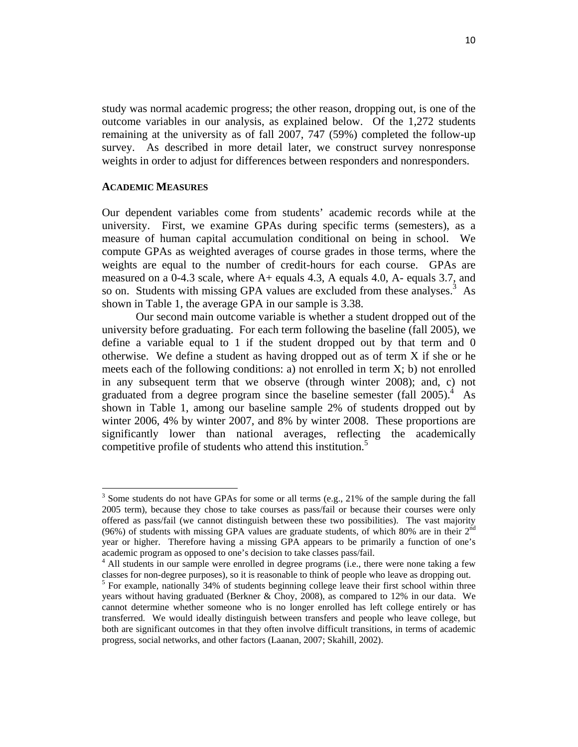study was normal academic progress; the other reason, dropping out, is one of the outcome variables in our analysis, as explained below. Of the 1,272 students remaining at the university as of fall 2007, 747 (59%) completed the follow-up survey. As described in more detail later, we construct survey nonresponse weights in order to adjust for differences between responders and nonresponders.

#### **ACADEMIC MEASURES**

Our dependent variables come from students' academic records while at the university. First, we examine GPAs during specific terms (semesters), as a measure of human capital accumulation conditional on being in school. We compute GPAs as weighted averages of course grades in those terms, where the weights are equal to the number of credit-hours for each course. GPAs are measured on a 0-4.3 scale, where A+ equals 4.3, A equals 4.0, A- equals 3.7, and so on. Students with missing GPA values are excluded from these analyses.<sup>3</sup> As shown in Table 1, the average GPA in our sample is 3.38.

Our second main outcome variable is whether a student dropped out of the university before graduating. For each term following the baseline (fall 2005), we define a variable equal to 1 if the student dropped out by that term and 0 otherwise. We define a student as having dropped out as of term X if she or he meets each of the following conditions: a) not enrolled in term  $X$ ; b) not enrolled in any subsequent term that we observe (through winter 2008); and, c) not graduated from a degree program since the baseline semester (fall 2005).<sup>4</sup> As shown in Table 1, among our baseline sample 2% of students dropped out by winter 2006, 4% by winter 2007, and 8% by winter 2008. These proportions are significantly lower than national averages, reflecting the academically competitive profile of students who attend this institution.<sup>5</sup>

 $3$  Some students do not have GPAs for some or all terms (e.g., 21% of the sample during the fall 2005 term), because they chose to take courses as pass/fail or because their courses were only offered as pass/fail (we cannot distinguish between these two possibilities). The vast majority (96%) of students with missing GPA values are graduate students, of which 80% are in their  $2<sup>nd</sup>$ year or higher. Therefore having a missing GPA appears to be primarily a function of one's academic program as opposed to one's decision to take classes pass/fail. 4

<sup>&</sup>lt;sup>4</sup> All students in our sample were enrolled in degree programs (i.e., there were none taking a few classes for non-degree purposes), so it is reasonable to think of people who leave as dropping out.

<sup>&</sup>lt;sup>5</sup> For example, nationally 34% of students beginning college leave their first school within three years without having graduated (Berkner & Choy, 2008), as compared to 12% in our data. We cannot determine whether someone who is no longer enrolled has left college entirely or has transferred. We would ideally distinguish between transfers and people who leave college, but both are significant outcomes in that they often involve difficult transitions, in terms of academic progress, social networks, and other factors (Laanan, 2007; Skahill, 2002).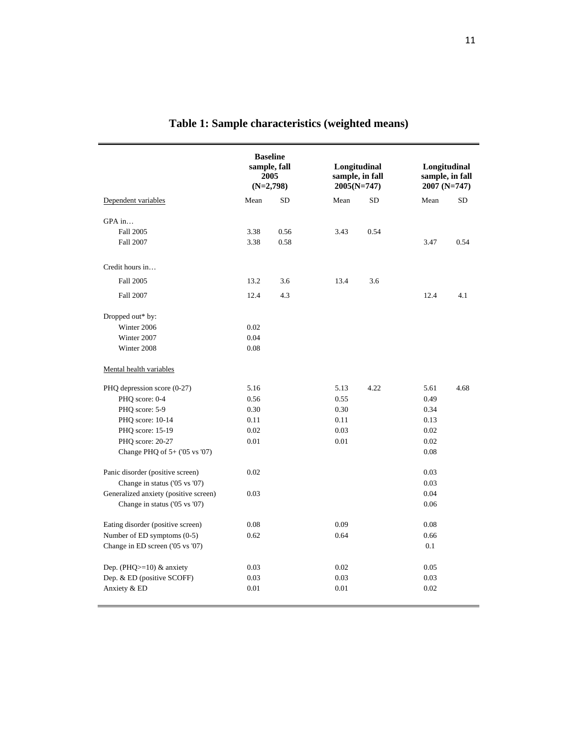|                                       | <b>Baseline</b><br>sample, fall<br>2005<br>$(N=2,798)$ |      | Longitudinal<br>sample, in fall<br>$2005(N=747)$ |           | Longitudinal<br>sample, in fall<br>2007 (N=747) |           |  |
|---------------------------------------|--------------------------------------------------------|------|--------------------------------------------------|-----------|-------------------------------------------------|-----------|--|
| Dependent variables                   | Mean                                                   | SD   | Mean                                             | <b>SD</b> | Mean                                            | <b>SD</b> |  |
| GPA in                                |                                                        |      |                                                  |           |                                                 |           |  |
| Fall 2005                             | 3.38                                                   | 0.56 | 3.43                                             | 0.54      |                                                 |           |  |
| Fall 2007                             | 3.38                                                   | 0.58 |                                                  |           | 3.47                                            | 0.54      |  |
| Credit hours in                       |                                                        |      |                                                  |           |                                                 |           |  |
| Fall 2005                             | 13.2                                                   | 3.6  | 13.4                                             | 3.6       |                                                 |           |  |
| Fall 2007                             | 12.4                                                   | 4.3  |                                                  |           | 12.4                                            | 4.1       |  |
| Dropped out* by:                      |                                                        |      |                                                  |           |                                                 |           |  |
| Winter 2006                           | 0.02                                                   |      |                                                  |           |                                                 |           |  |
| Winter 2007                           | 0.04                                                   |      |                                                  |           |                                                 |           |  |
| Winter 2008                           | 0.08                                                   |      |                                                  |           |                                                 |           |  |
| Mental health variables               |                                                        |      |                                                  |           |                                                 |           |  |
| PHQ depression score (0-27)           | 5.16                                                   |      | 5.13                                             | 4.22      | 5.61                                            | 4.68      |  |
| PHQ score: 0-4                        | 0.56                                                   |      | 0.55                                             |           | 0.49                                            |           |  |
| PHQ score: 5-9                        | 0.30                                                   |      | 0.30                                             |           | 0.34                                            |           |  |
| PHQ score: 10-14                      | 0.11                                                   |      | 0.11                                             |           | 0.13                                            |           |  |
| PHQ score: 15-19                      | 0.02                                                   |      | 0.03                                             |           | 0.02                                            |           |  |
| PHQ score: 20-27                      | 0.01                                                   |      | 0.01                                             |           | 0.02                                            |           |  |
| Change PHQ of $5+$ ('05 vs '07)       |                                                        |      |                                                  |           | 0.08                                            |           |  |
| Panic disorder (positive screen)      | 0.02                                                   |      |                                                  |           | 0.03                                            |           |  |
| Change in status ('05 vs '07)         |                                                        |      |                                                  |           | 0.03                                            |           |  |
| Generalized anxiety (positive screen) | 0.03                                                   |      |                                                  |           | 0.04                                            |           |  |
| Change in status ('05 vs '07)         |                                                        |      |                                                  |           | 0.06                                            |           |  |
| Eating disorder (positive screen)     | 0.08                                                   |      | 0.09                                             |           | 0.08                                            |           |  |
| Number of ED symptoms (0-5)           | 0.62                                                   |      | 0.64                                             |           | 0.66                                            |           |  |
| Change in ED screen ('05 vs '07)      |                                                        |      |                                                  |           | 0.1                                             |           |  |
| Dep. (PHQ $>=$ 10) & anxiety          | 0.03                                                   |      | 0.02                                             |           | 0.05                                            |           |  |
| Dep. & ED (positive SCOFF)            | 0.03                                                   |      | 0.03                                             |           | 0.03                                            |           |  |
| Anxiety & ED                          | 0.01                                                   |      | 0.01                                             |           | 0.02                                            |           |  |

# **Table 1: Sample characteristics (weighted means)**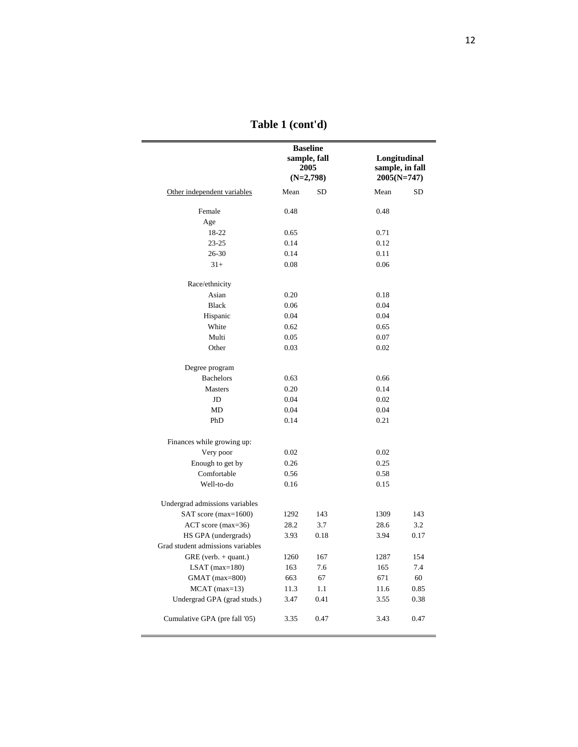|                                   |      | <b>Baseline</b><br>sample, fall<br>2005<br>$(N=2,798)$ | Longitudinal<br>sample, in fall<br>$2005(N=747)$ |           |  |
|-----------------------------------|------|--------------------------------------------------------|--------------------------------------------------|-----------|--|
| Other independent variables       | Mean | SD                                                     | Mean                                             | <b>SD</b> |  |
| Female                            | 0.48 |                                                        | 0.48                                             |           |  |
| Age                               |      |                                                        |                                                  |           |  |
| 18-22                             | 0.65 |                                                        | 0.71                                             |           |  |
| $23 - 25$                         | 0.14 |                                                        | 0.12                                             |           |  |
| 26-30                             | 0.14 |                                                        | 0.11                                             |           |  |
| $31+$                             | 0.08 |                                                        | 0.06                                             |           |  |
| Race/ethnicity                    |      |                                                        |                                                  |           |  |
| Asian                             | 0.20 |                                                        | 0.18                                             |           |  |
| <b>Black</b>                      | 0.06 |                                                        | 0.04                                             |           |  |
| Hispanic                          | 0.04 |                                                        | 0.04                                             |           |  |
| White                             | 0.62 |                                                        | 0.65                                             |           |  |
| Multi                             | 0.05 |                                                        | 0.07                                             |           |  |
| Other                             | 0.03 |                                                        | 0.02                                             |           |  |
| Degree program                    |      |                                                        |                                                  |           |  |
| <b>Bachelors</b>                  | 0.63 |                                                        | 0.66                                             |           |  |
| Masters                           | 0.20 |                                                        | 0.14                                             |           |  |
| JD                                | 0.04 |                                                        | 0.02                                             |           |  |
| MD                                | 0.04 |                                                        | 0.04                                             |           |  |
| PhD                               | 0.14 |                                                        | 0.21                                             |           |  |
| Finances while growing up:        |      |                                                        |                                                  |           |  |
| Very poor                         | 0.02 |                                                        | 0.02                                             |           |  |
| Enough to get by                  | 0.26 |                                                        | 0.25                                             |           |  |
| Comfortable                       | 0.56 |                                                        | 0.58                                             |           |  |
| Well-to-do                        | 0.16 |                                                        | 0.15                                             |           |  |
| Undergrad admissions variables    |      |                                                        |                                                  |           |  |
| SAT score (max=1600)              | 1292 | 143                                                    | 1309                                             | 143       |  |
| $ACT$ score (max=36)              | 28.2 | 3.7                                                    | 28.6                                             | 3.2       |  |
| HS GPA (undergrads)               | 3.93 | 0.18                                                   | 3.94                                             | 0.17      |  |
| Grad student admissions variables |      |                                                        |                                                  |           |  |
| GRE (verb. + quant.)              | 1260 | 167                                                    | 1287                                             | 154       |  |
| LSAT $(max=180)$                  | 163  | $7.6\,$                                                | 165                                              | 7.4       |  |
| GMAT (max=800)                    | 663  | 67                                                     | 671                                              | 60        |  |
| $MCAT$ (max=13)                   | 11.3 | 1.1                                                    | 11.6                                             | 0.85      |  |
| Undergrad GPA (grad studs.)       | 3.47 | 0.41                                                   | 3.55                                             | 0.38      |  |
| Cumulative GPA (pre fall '05)     | 3.35 | 0.47                                                   | 3.43                                             | 0.47      |  |

**Table 1 (cont'd)**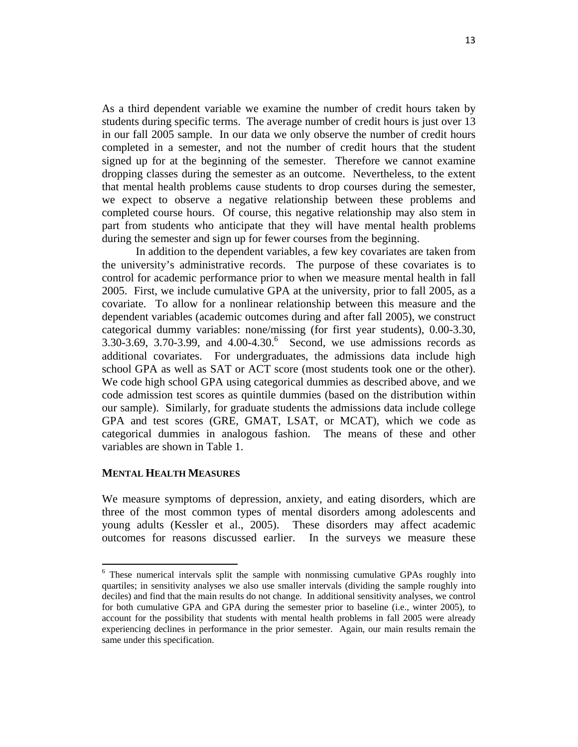As a third dependent variable we examine the number of credit hours taken by students during specific terms. The average number of credit hours is just over 13 in our fall 2005 sample. In our data we only observe the number of credit hours completed in a semester, and not the number of credit hours that the student signed up for at the beginning of the semester. Therefore we cannot examine dropping classes during the semester as an outcome. Nevertheless, to the extent that mental health problems cause students to drop courses during the semester, we expect to observe a negative relationship between these problems and completed course hours. Of course, this negative relationship may also stem in part from students who anticipate that they will have mental health problems during the semester and sign up for fewer courses from the beginning.

In addition to the dependent variables, a few key covariates are taken from the university's administrative records. The purpose of these covariates is to control for academic performance prior to when we measure mental health in fall 2005. First, we include cumulative GPA at the university, prior to fall 2005, as a covariate. To allow for a nonlinear relationship between this measure and the dependent variables (academic outcomes during and after fall 2005), we construct categorical dummy variables: none/missing (for first year students), 0.00-3.30,  $3.30 - 3.69$ ,  $3.70 - 3.99$ , and  $4.00 - 4.30$ . Second, we use admissions records as additional covariates. For undergraduates, the admissions data include high school GPA as well as SAT or ACT score (most students took one or the other). We code high school GPA using categorical dummies as described above, and we code admission test scores as quintile dummies (based on the distribution within our sample). Similarly, for graduate students the admissions data include college GPA and test scores (GRE, GMAT, LSAT, or MCAT), which we code as categorical dummies in analogous fashion. The means of these and other variables are shown in Table 1.

### **MENTAL HEALTH MEASURES**

We measure symptoms of depression, anxiety, and eating disorders, which are three of the most common types of mental disorders among adolescents and young adults (Kessler et al., 2005). These disorders may affect academic outcomes for reasons discussed earlier. In the surveys we measure these

<sup>&</sup>lt;sup>6</sup> These numerical intervals split the sample with nonmissing cumulative GPAs roughly into quartiles; in sensitivity analyses we also use smaller intervals (dividing the sample roughly into deciles) and find that the main results do not change. In additional sensitivity analyses, we control for both cumulative GPA and GPA during the semester prior to baseline (i.e., winter 2005), to account for the possibility that students with mental health problems in fall 2005 were already experiencing declines in performance in the prior semester. Again, our main results remain the same under this specification.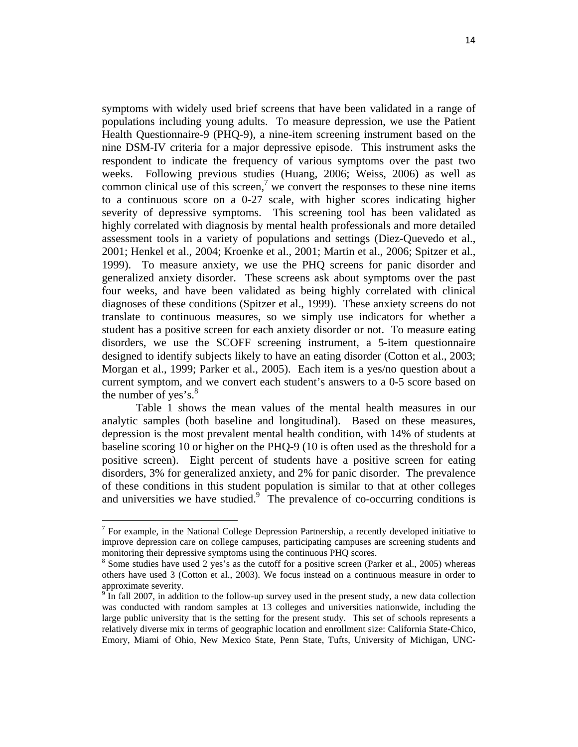symptoms with widely used brief screens that have been validated in a range of populations including young adults. To measure depression, we use the Patient Health Questionnaire-9 (PHQ-9), a nine-item screening instrument based on the nine DSM-IV criteria for a major depressive episode. This instrument asks the respondent to indicate the frequency of various symptoms over the past two weeks. Following previous studies (Huang, 2006; Weiss, 2006) as well as common clinical use of this screen,<sup>7</sup> we convert the responses to these nine items to a continuous score on a 0-27 scale, with higher scores indicating higher severity of depressive symptoms. This screening tool has been validated as highly correlated with diagnosis by mental health professionals and more detailed assessment tools in a variety of populations and settings (Diez-Quevedo et al., 2001; Henkel et al., 2004; Kroenke et al., 2001; Martin et al., 2006; Spitzer et al., 1999). To measure anxiety, we use the PHQ screens for panic disorder and generalized anxiety disorder. These screens ask about symptoms over the past four weeks, and have been validated as being highly correlated with clinical diagnoses of these conditions (Spitzer et al., 1999). These anxiety screens do not translate to continuous measures, so we simply use indicators for whether a student has a positive screen for each anxiety disorder or not. To measure eating disorders, we use the SCOFF screening instrument, a 5-item questionnaire designed to identify subjects likely to have an eating disorder (Cotton et al., 2003; Morgan et al., 1999; Parker et al., 2005). Each item is a yes/no question about a current symptom, and we convert each student's answers to a 0-5 score based on the number of yes's. $8^{\circ}$ 

Table 1 shows the mean values of the mental health measures in our analytic samples (both baseline and longitudinal). Based on these measures, depression is the most prevalent mental health condition, with 14% of students at baseline scoring 10 or higher on the PHQ-9 (10 is often used as the threshold for a positive screen). Eight percent of students have a positive screen for eating disorders, 3% for generalized anxiety, and 2% for panic disorder. The prevalence of these conditions in this student population is similar to that at other colleges and universities we have studied. $9$  The prevalence of co-occurring conditions is

 $<sup>7</sup>$  For example, in the National College Depression Partnership, a recently developed initiative to</sup> improve depression care on college campuses, participating campuses are screening students and monitoring their depressive symptoms using the continuous PHQ scores.

 $8$  Some studies have used 2 yes's as the cutoff for a positive screen (Parker et al., 2005) whereas others have used 3 (Cotton et al., 2003). We focus instead on a continuous measure in order to approximate severity.

 $\frac{9}{9}$  In fall 2007, in addition to the follow-up survey used in the present study, a new data collection was conducted with random samples at 13 colleges and universities nationwide, including the large public university that is the setting for the present study. This set of schools represents a relatively diverse mix in terms of geographic location and enrollment size: California State-Chico, Emory, Miami of Ohio, New Mexico State, Penn State, Tufts, University of Michigan, UNC-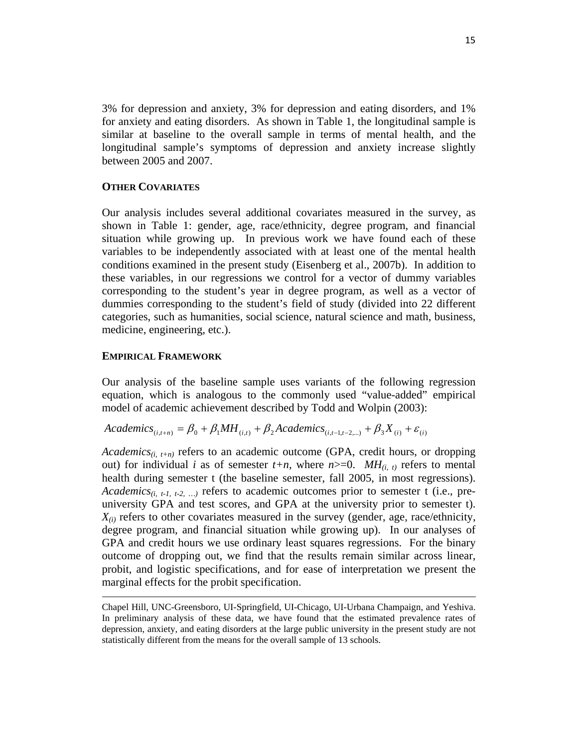3% for depression and anxiety, 3% for depression and eating disorders, and 1% for anxiety and eating disorders. As shown in Table 1, the longitudinal sample is similar at baseline to the overall sample in terms of mental health, and the longitudinal sample's symptoms of depression and anxiety increase slightly between 2005 and 2007.

### **OTHER COVARIATES**

Our analysis includes several additional covariates measured in the survey, as shown in Table 1: gender, age, race/ethnicity, degree program, and financial situation while growing up. In previous work we have found each of these variables to be independently associated with at least one of the mental health conditions examined in the present study (Eisenberg et al., 2007b). In addition to these variables, in our regressions we control for a vector of dummy variables corresponding to the student's year in degree program, as well as a vector of dummies corresponding to the student's field of study (divided into 22 different categories, such as humanities, social science, natural science and math, business, medicine, engineering, etc.).

#### **EMPIRICAL FRAMEWORK**

Our analysis of the baseline sample uses variants of the following regression equation, which is analogous to the commonly used "value-added" empirical model of academic achievement described by Todd and Wolpin (2003):

*Academics*<sub>(*i*,*t*+*n*)</sub> =  $\beta_0$  +  $\beta_1 MH_{(i,t)}$  +  $\beta_2$ *Academics*<sub>(*i*,*t*-1,*t*-2,...)</sub> +  $\beta_3 X_{(i)}$  +  $\varepsilon_{(i)}$ 

*Academics<sub>(i, t+n)</sub>* refers to an academic outcome (GPA, credit hours, or dropping out) for individual *i* as of semester  $t+n$ , where  $n>=0$ . MH<sub>(i, t)</sub> refers to mental health during semester t (the baseline semester, fall 2005, in most regressions). *Academics<sub>(i, t-1, t-2, ...)* refers to academic outcomes prior to semester t (i.e., pre-</sub> university GPA and test scores, and GPA at the university prior to semester t).  $X_{(i)}$  refers to other covariates measured in the survey (gender, age, race/ethnicity, degree program, and financial situation while growing up). In our analyses of GPA and credit hours we use ordinary least squares regressions. For the binary outcome of dropping out, we find that the results remain similar across linear, probit, and logistic specifications, and for ease of interpretation we present the marginal effects for the probit specification.

<u> 1989 - Johann Stoff, amerikansk politiker (d. 1989)</u>

Chapel Hill, UNC-Greensboro, UI-Springfield, UI-Chicago, UI-Urbana Champaign, and Yeshiva. In preliminary analysis of these data, we have found that the estimated prevalence rates of depression, anxiety, and eating disorders at the large public university in the present study are not statistically different from the means for the overall sample of 13 schools.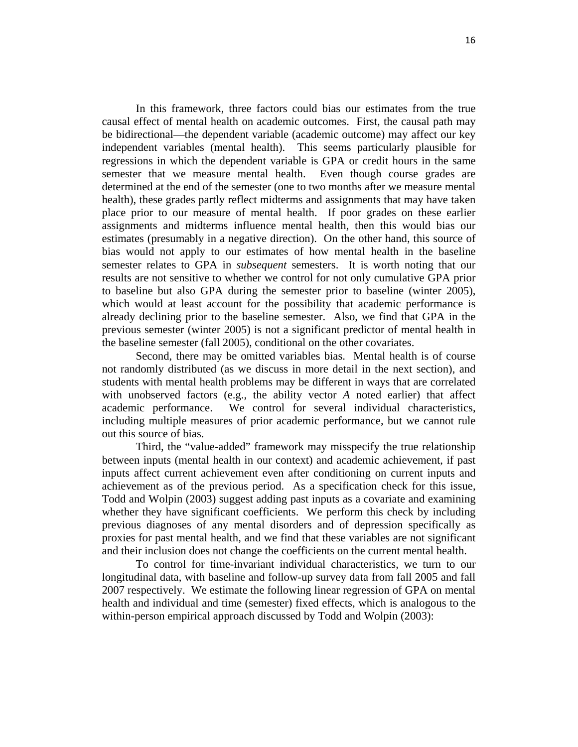In this framework, three factors could bias our estimates from the true causal effect of mental health on academic outcomes. First, the causal path may be bidirectional—the dependent variable (academic outcome) may affect our key independent variables (mental health). This seems particularly plausible for regressions in which the dependent variable is GPA or credit hours in the same semester that we measure mental health. Even though course grades are determined at the end of the semester (one to two months after we measure mental health), these grades partly reflect midterms and assignments that may have taken place prior to our measure of mental health. If poor grades on these earlier assignments and midterms influence mental health, then this would bias our estimates (presumably in a negative direction). On the other hand, this source of bias would not apply to our estimates of how mental health in the baseline semester relates to GPA in *subsequent* semesters. It is worth noting that our results are not sensitive to whether we control for not only cumulative GPA prior to baseline but also GPA during the semester prior to baseline (winter 2005), which would at least account for the possibility that academic performance is already declining prior to the baseline semester. Also, we find that GPA in the previous semester (winter 2005) is not a significant predictor of mental health in the baseline semester (fall 2005), conditional on the other covariates.

Second, there may be omitted variables bias. Mental health is of course not randomly distributed (as we discuss in more detail in the next section), and students with mental health problems may be different in ways that are correlated with unobserved factors (e.g., the ability vector *A* noted earlier) that affect academic performance. We control for several individual characteristics, including multiple measures of prior academic performance, but we cannot rule out this source of bias.

Third, the "value-added" framework may misspecify the true relationship between inputs (mental health in our context) and academic achievement, if past inputs affect current achievement even after conditioning on current inputs and achievement as of the previous period. As a specification check for this issue, Todd and Wolpin (2003) suggest adding past inputs as a covariate and examining whether they have significant coefficients. We perform this check by including previous diagnoses of any mental disorders and of depression specifically as proxies for past mental health, and we find that these variables are not significant and their inclusion does not change the coefficients on the current mental health.

To control for time-invariant individual characteristics, we turn to our longitudinal data, with baseline and follow-up survey data from fall 2005 and fall 2007 respectively. We estimate the following linear regression of GPA on mental health and individual and time (semester) fixed effects, which is analogous to the within-person empirical approach discussed by Todd and Wolpin (2003):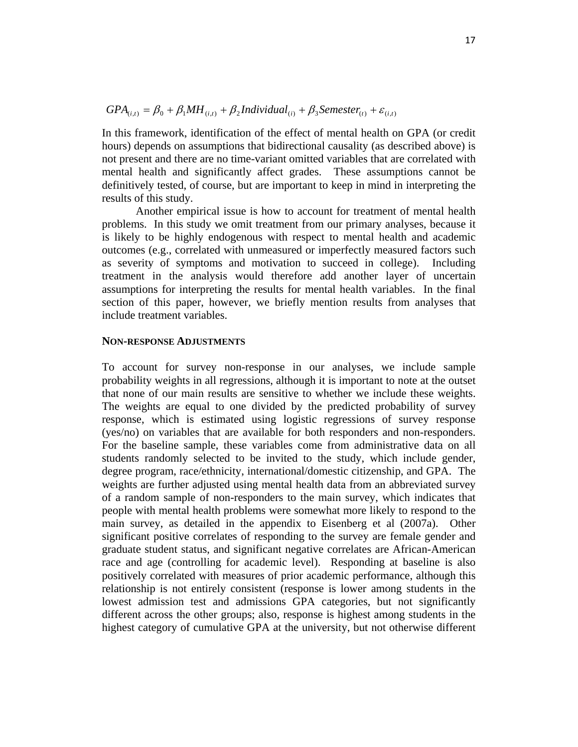$$
GPA_{(i,t)} = \beta_0 + \beta_1 MH_{(i,t)} + \beta_2 Individual_{(i)} + \beta_3 Semester_{(t)} + \varepsilon_{(i,t)}
$$

In this framework, identification of the effect of mental health on GPA (or credit hours) depends on assumptions that bidirectional causality (as described above) is not present and there are no time-variant omitted variables that are correlated with mental health and significantly affect grades. These assumptions cannot be definitively tested, of course, but are important to keep in mind in interpreting the results of this study.

Another empirical issue is how to account for treatment of mental health problems. In this study we omit treatment from our primary analyses, because it is likely to be highly endogenous with respect to mental health and academic outcomes (e.g., correlated with unmeasured or imperfectly measured factors such as severity of symptoms and motivation to succeed in college). Including treatment in the analysis would therefore add another layer of uncertain assumptions for interpreting the results for mental health variables. In the final section of this paper, however, we briefly mention results from analyses that include treatment variables.

### **NON-RESPONSE ADJUSTMENTS**

To account for survey non-response in our analyses, we include sample probability weights in all regressions, although it is important to note at the outset that none of our main results are sensitive to whether we include these weights. The weights are equal to one divided by the predicted probability of survey response, which is estimated using logistic regressions of survey response (yes/no) on variables that are available for both responders and non-responders. For the baseline sample, these variables come from administrative data on all students randomly selected to be invited to the study, which include gender, degree program, race/ethnicity, international/domestic citizenship, and GPA. The weights are further adjusted using mental health data from an abbreviated survey of a random sample of non-responders to the main survey, which indicates that people with mental health problems were somewhat more likely to respond to the main survey, as detailed in the appendix to Eisenberg et al (2007a). Other significant positive correlates of responding to the survey are female gender and graduate student status, and significant negative correlates are African-American race and age (controlling for academic level). Responding at baseline is also positively correlated with measures of prior academic performance, although this relationship is not entirely consistent (response is lower among students in the lowest admission test and admissions GPA categories, but not significantly different across the other groups; also, response is highest among students in the highest category of cumulative GPA at the university, but not otherwise different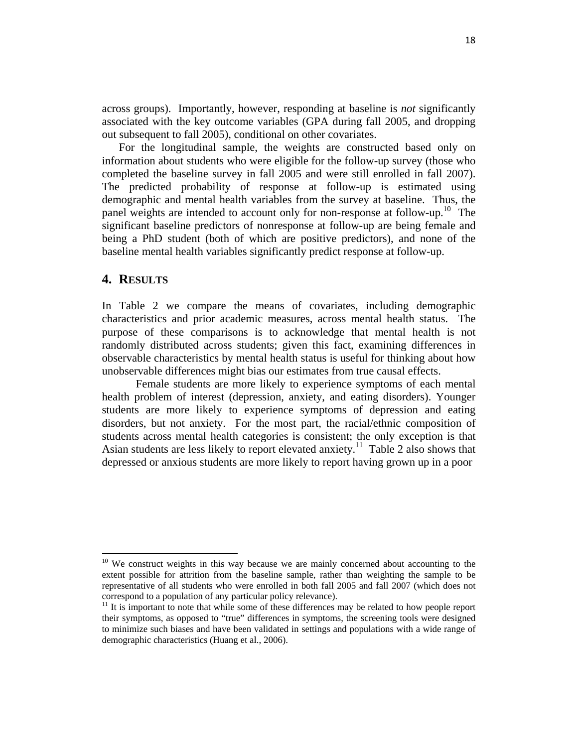across groups). Importantly, however, responding at baseline is *not* significantly associated with the key outcome variables (GPA during fall 2005, and dropping out subsequent to fall 2005), conditional on other covariates.

For the longitudinal sample, the weights are constructed based only on information about students who were eligible for the follow-up survey (those who completed the baseline survey in fall 2005 and were still enrolled in fall 2007). The predicted probability of response at follow-up is estimated using demographic and mental health variables from the survey at baseline. Thus, the panel weights are intended to account only for non-response at follow-up.<sup>10</sup> The significant baseline predictors of nonresponse at follow-up are being female and being a PhD student (both of which are positive predictors), and none of the baseline mental health variables significantly predict response at follow-up.

# **4. RESULTS**

In Table 2 we compare the means of covariates, including demographic characteristics and prior academic measures, across mental health status. The purpose of these comparisons is to acknowledge that mental health is not randomly distributed across students; given this fact, examining differences in observable characteristics by mental health status is useful for thinking about how unobservable differences might bias our estimates from true causal effects.

Female students are more likely to experience symptoms of each mental health problem of interest (depression, anxiety, and eating disorders). Younger students are more likely to experience symptoms of depression and eating disorders, but not anxiety. For the most part, the racial/ethnic composition of students across mental health categories is consistent; the only exception is that Asian students are less likely to report elevated anxiety.11 Table 2 also shows that depressed or anxious students are more likely to report having grown up in a poor

<sup>&</sup>lt;sup>10</sup> We construct weights in this way because we are mainly concerned about accounting to the extent possible for attrition from the baseline sample, rather than weighting the sample to be representative of all students who were enrolled in both fall 2005 and fall 2007 (which does not correspond to a population of any particular policy relevance). 11 It is important to note that while some of these differences may be related to how people report

their symptoms, as opposed to "true" differences in symptoms, the screening tools were designed to minimize such biases and have been validated in settings and populations with a wide range of demographic characteristics (Huang et al., 2006).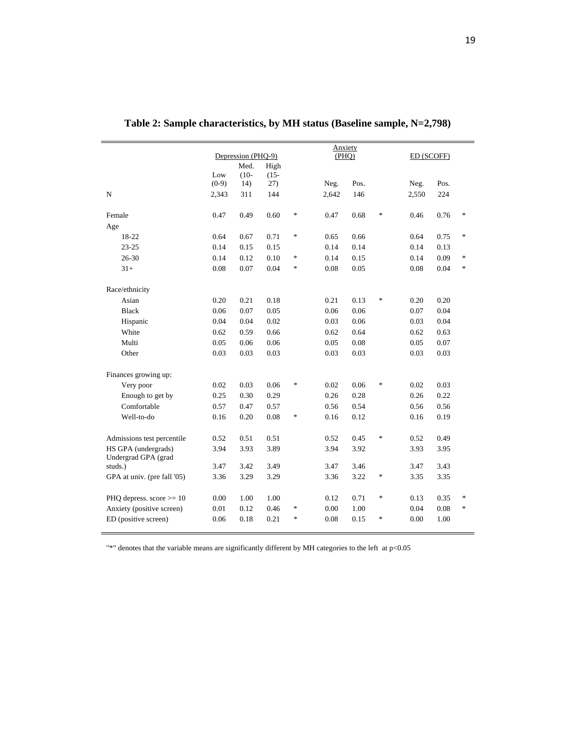|                             | Depression (PHQ-9) |         |         |        | Anxiety<br>(PHQ) |      |        |       | ED (SCOFF) |                                   |  |
|-----------------------------|--------------------|---------|---------|--------|------------------|------|--------|-------|------------|-----------------------------------|--|
|                             |                    | Med.    | High    |        |                  |      |        |       |            |                                   |  |
|                             | Low                | $(10 -$ | $(15 -$ |        |                  |      |        |       |            |                                   |  |
|                             | $(0-9)$            | 14)     | 27)     |        | Neg.             | Pos. |        | Neg.  | Pos.       |                                   |  |
| ${\bf N}$                   | 2,343              | 311     | 144     |        | 2,642            | 146  |        | 2,550 | 224        |                                   |  |
| Female                      | 0.47               | 0.49    | 0.60    | *      | 0.47             | 0.68 | $\ast$ | 0.46  | 0.76       | $\ast$                            |  |
| Age                         |                    |         |         |        |                  |      |        |       |            |                                   |  |
| 18-22                       | 0.64               | 0.67    | 0.71    | $\ast$ | 0.65             | 0.66 |        | 0.64  | 0.75       | $\ast$                            |  |
| $23 - 25$                   | 0.14               | 0.15    | 0.15    |        | 0.14             | 0.14 |        | 0.14  | 0.13       |                                   |  |
| $26 - 30$                   | 0.14               | 0.12    | 0.10    | $\ast$ | 0.14             | 0.15 |        | 0.14  | 0.09       | *                                 |  |
| $31+$                       | 0.08               | 0.07    | 0.04    | $\ast$ | 0.08             | 0.05 |        | 0.08  | 0.04       | $\ast$                            |  |
| Race/ethnicity              |                    |         |         |        |                  |      |        |       |            |                                   |  |
| Asian                       | 0.20               | 0.21    | 0.18    |        | 0.21             | 0.13 | $\ast$ | 0.20  | 0.20       |                                   |  |
| <b>Black</b>                | 0.06               | 0.07    | 0.05    |        | 0.06             | 0.06 |        | 0.07  | 0.04       |                                   |  |
| Hispanic                    | 0.04               | 0.04    | 0.02    |        | 0.03             | 0.06 |        | 0.03  | 0.04       |                                   |  |
| White                       | 0.62               | 0.59    | 0.66    |        | 0.62             | 0.64 |        | 0.62  | 0.63       |                                   |  |
| Multi                       | 0.05               | 0.06    | 0.06    |        | 0.05             | 0.08 |        | 0.05  | 0.07       |                                   |  |
| Other                       | 0.03               | 0.03    | 0.03    |        | 0.03             | 0.03 |        | 0.03  | 0.03       |                                   |  |
| Finances growing up:        |                    |         |         |        |                  |      |        |       |            |                                   |  |
| Very poor                   | 0.02               | 0.03    | 0.06    | *      | 0.02             | 0.06 | *      | 0.02  | 0.03       |                                   |  |
| Enough to get by            | 0.25               | 0.30    | 0.29    |        | 0.26             | 0.28 |        | 0.26  | 0.22       |                                   |  |
| Comfortable                 | 0.57               | 0.47    | 0.57    |        | 0.56             | 0.54 |        | 0.56  | 0.56       |                                   |  |
| Well-to-do                  | 0.16               | 0.20    | 0.08    | $\ast$ | 0.16             | 0.12 |        | 0.16  | 0.19       |                                   |  |
|                             |                    |         |         |        |                  |      |        |       |            |                                   |  |
| Admissions test percentile  | 0.52               | 0.51    | 0.51    |        | 0.52             | 0.45 | $\ast$ | 0.52  | 0.49       |                                   |  |
| HS GPA (undergrads)         | 3.94               | 3.93    | 3.89    |        | 3.94             | 3.92 |        | 3.93  | 3.95       |                                   |  |
| Undergrad GPA (grad         |                    |         |         |        |                  |      |        |       |            |                                   |  |
| studs.)                     | 3.47               | 3.42    | 3.49    |        | 3.47             | 3.46 |        | 3.47  | 3.43       |                                   |  |
| GPA at univ. (pre fall '05) | 3.36               | 3.29    | 3.29    |        | 3.36             | 3.22 | *      | 3.35  | 3.35       |                                   |  |
| PHQ depress. score $>= 10$  | 0.00               | 1.00    | 1.00    |        | 0.12             | 0.71 | $\ast$ | 0.13  | 0.35       | $\ast$                            |  |
| Anxiety (positive screen)   | 0.01               | 0.12    | 0.46    | $\ast$ | 0.00             | 1.00 |        | 0.04  | $0.08\,$   | $\frac{d\mathbf{r}}{d\mathbf{r}}$ |  |
| ED (positive screen)        | 0.06               | 0.18    | 0.21    | *      | 0.08             | 0.15 | *      | 0.00  | 1.00       |                                   |  |
|                             |                    |         |         |        |                  |      |        |       |            |                                   |  |

| Table 2: Sample characteristics, by MH status (Baseline sample, N=2,798) |
|--------------------------------------------------------------------------|
|                                                                          |

"\*" denotes that the variable means are significantly different by MH categories to the left at p<0.05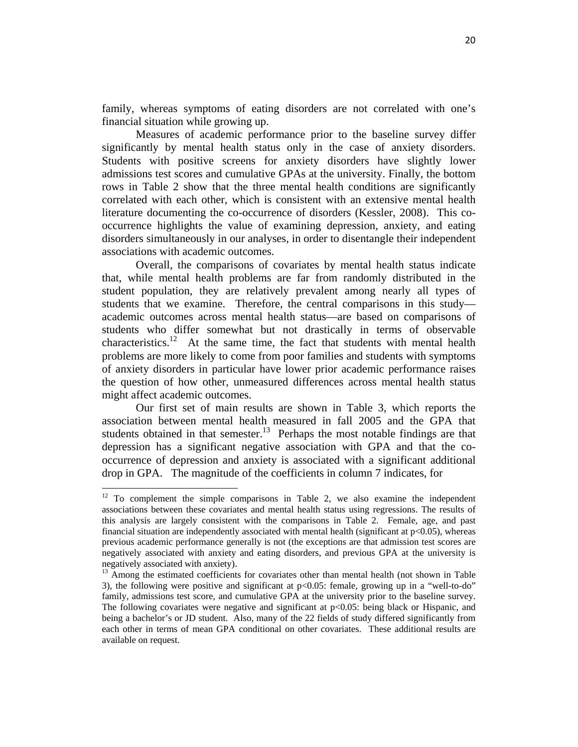family, whereas symptoms of eating disorders are not correlated with one's financial situation while growing up.

Measures of academic performance prior to the baseline survey differ significantly by mental health status only in the case of anxiety disorders. Students with positive screens for anxiety disorders have slightly lower admissions test scores and cumulative GPAs at the university. Finally, the bottom rows in Table 2 show that the three mental health conditions are significantly correlated with each other, which is consistent with an extensive mental health literature documenting the co-occurrence of disorders (Kessler, 2008). This cooccurrence highlights the value of examining depression, anxiety, and eating disorders simultaneously in our analyses, in order to disentangle their independent associations with academic outcomes.

Overall, the comparisons of covariates by mental health status indicate that, while mental health problems are far from randomly distributed in the student population, they are relatively prevalent among nearly all types of students that we examine. Therefore, the central comparisons in this study academic outcomes across mental health status—are based on comparisons of students who differ somewhat but not drastically in terms of observable characteristics.<sup>12</sup> At the same time, the fact that students with mental health problems are more likely to come from poor families and students with symptoms of anxiety disorders in particular have lower prior academic performance raises the question of how other, unmeasured differences across mental health status might affect academic outcomes.

Our first set of main results are shown in Table 3, which reports the association between mental health measured in fall 2005 and the GPA that students obtained in that semester. $13$  Perhaps the most notable findings are that depression has a significant negative association with GPA and that the cooccurrence of depression and anxiety is associated with a significant additional drop in GPA. The magnitude of the coefficients in column 7 indicates, for

 $12$  To complement the simple comparisons in Table 2, we also examine the independent associations between these covariates and mental health status using regressions. The results of this analysis are largely consistent with the comparisons in Table 2. Female, age, and past financial situation are independently associated with mental health (significant at p<0.05), whereas previous academic performance generally is not (the exceptions are that admission test scores are negatively associated with anxiety and eating disorders, and previous GPA at the university is negatively associated with anxiety).

 $13$  Among the estimated coefficients for covariates other than mental health (not shown in Table 3), the following were positive and significant at  $p<0.05$ : female, growing up in a "well-to-do" family, admissions test score, and cumulative GPA at the university prior to the baseline survey. The following covariates were negative and significant at  $p<0.05$ : being black or Hispanic, and being a bachelor's or JD student. Also, many of the 22 fields of study differed significantly from each other in terms of mean GPA conditional on other covariates. These additional results are available on request.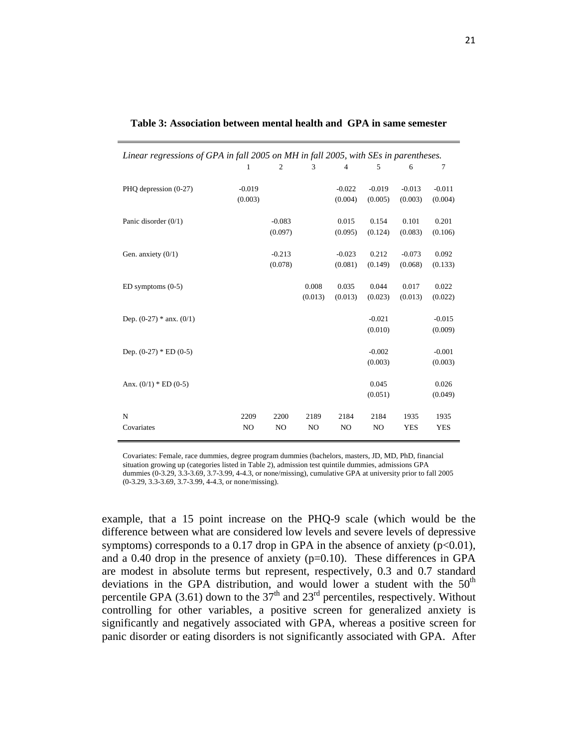| Linear regressions of GPA in fall 2005 on MH in fall 2005, with SEs in parentheses. |                |                |                |                |                |            |            |
|-------------------------------------------------------------------------------------|----------------|----------------|----------------|----------------|----------------|------------|------------|
|                                                                                     | 1              | 2              | 3              | 4              | 5              | 6          | 7          |
| PHQ depression (0-27)                                                               | $-0.019$       |                |                | $-0.022$       | $-0.019$       | $-0.013$   | $-0.011$   |
|                                                                                     | (0.003)        |                |                | (0.004)        | (0.005)        | (0.003)    | (0.004)    |
| Panic disorder $(0/1)$                                                              |                | $-0.083$       |                | 0.015          | 0.154          | 0.101      | 0.201      |
|                                                                                     |                | (0.097)        |                | (0.095)        | (0.124)        | (0.083)    | (0.106)    |
| Gen. anxiety $(0/1)$                                                                |                | $-0.213$       |                | $-0.023$       | 0.212          | $-0.073$   | 0.092      |
|                                                                                     |                | (0.078)        |                | (0.081)        | (0.149)        | (0.068)    | (0.133)    |
| $ED$ symptoms $(0-5)$                                                               |                |                | 0.008          | 0.035          | 0.044          | 0.017      | 0.022      |
|                                                                                     |                |                | (0.013)        | (0.013)        | (0.023)        | (0.013)    | (0.022)    |
| Dep. $(0-27)$ * anx. $(0/1)$                                                        |                |                |                |                | $-0.021$       |            | $-0.015$   |
|                                                                                     |                |                |                |                | (0.010)        |            | (0.009)    |
| Dep. $(0-27)$ * ED $(0-5)$                                                          |                |                |                |                | $-0.002$       |            | $-0.001$   |
|                                                                                     |                |                |                |                | (0.003)        |            | (0.003)    |
| Anx. $(0/1) * ED(0-5)$                                                              |                |                |                |                | 0.045          |            | 0.026      |
|                                                                                     |                |                |                |                | (0.051)        |            | (0.049)    |
| N                                                                                   | 2209           | 2200           | 2189           | 2184           | 2184           | 1935       | 1935       |
| Covariates                                                                          | N <sub>O</sub> | N <sub>O</sub> | N <sub>O</sub> | N <sub>O</sub> | N <sub>O</sub> | <b>YES</b> | <b>YES</b> |

| Table 3: Association between mental health and GPA in same semester |  |
|---------------------------------------------------------------------|--|
|---------------------------------------------------------------------|--|

Covariates: Female, race dummies, degree program dummies (bachelors, masters, JD, MD, PhD, financial situation growing up (categories listed in Table 2), admission test quintile dummies, admissions GPA dummies (0-3.29, 3.3-3.69, 3.7-3.99, 4-4.3, or none/missing), cumulative GPA at university prior to fall 2005 (0-3.29, 3.3-3.69, 3.7-3.99, 4-4.3, or none/missing).

example, that a 15 point increase on the PHQ-9 scale (which would be the difference between what are considered low levels and severe levels of depressive symptoms) corresponds to a 0.17 drop in GPA in the absence of anxiety  $(p<0.01)$ , and a 0.40 drop in the presence of anxiety  $(p=0.10)$ . These differences in GPA are modest in absolute terms but represent, respectively, 0.3 and 0.7 standard deviations in the GPA distribution, and would lower a student with the  $50<sup>th</sup>$ percentile GPA (3.61) down to the  $37<sup>th</sup>$  and  $23<sup>rd</sup>$  percentiles, respectively. Without controlling for other variables, a positive screen for generalized anxiety is significantly and negatively associated with GPA, whereas a positive screen for panic disorder or eating disorders is not significantly associated with GPA. After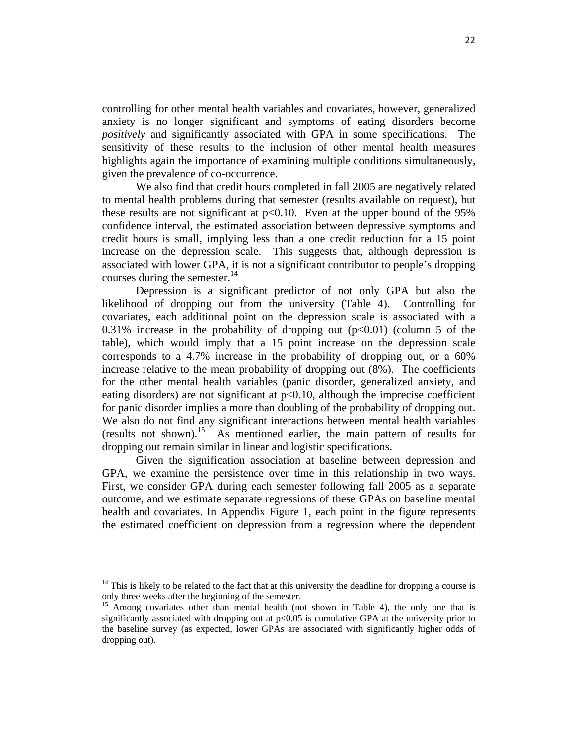controlling for other mental health variables and covariates, however, generalized anxiety is no longer significant and symptoms of eating disorders become *positively* and significantly associated with GPA in some specifications. The sensitivity of these results to the inclusion of other mental health measures highlights again the importance of examining multiple conditions simultaneously, given the prevalence of co-occurrence.

We also find that credit hours completed in fall 2005 are negatively related to mental health problems during that semester (results available on request), but these results are not significant at  $p<0.10$ . Even at the upper bound of the 95% confidence interval, the estimated association between depressive symptoms and credit hours is small, implying less than a one credit reduction for a 15 point increase on the depression scale. This suggests that, although depression is associated with lower GPA, it is not a significant contributor to people's dropping courses during the semester. $^{14}$ 

Depression is a significant predictor of not only GPA but also the likelihood of dropping out from the university (Table 4). Controlling for covariates, each additional point on the depression scale is associated with a 0.31% increase in the probability of dropping out  $(p<0.01)$  (column 5 of the table), which would imply that a 15 point increase on the depression scale corresponds to a 4.7% increase in the probability of dropping out, or a 60% increase relative to the mean probability of dropping out (8%). The coefficients for the other mental health variables (panic disorder, generalized anxiety, and eating disorders) are not significant at  $p<0.10$ , although the imprecise coefficient for panic disorder implies a more than doubling of the probability of dropping out. We also do not find any significant interactions between mental health variables (results not shown).<sup>15</sup> As mentioned earlier, the main pattern of results for dropping out remain similar in linear and logistic specifications.

Given the signification association at baseline between depression and GPA, we examine the persistence over time in this relationship in two ways. First, we consider GPA during each semester following fall 2005 as a separate outcome, and we estimate separate regressions of these GPAs on baseline mental health and covariates. In Appendix Figure 1, each point in the figure represents the estimated coefficient on depression from a regression where the dependent

 $14$  This is likely to be related to the fact that at this university the deadline for dropping a course is only three weeks after the beginning of the semester.

<sup>&</sup>lt;sup>15</sup> Among covariates other than mental health (not shown in Table 4), the only one that is significantly associated with dropping out at p<0.05 is cumulative GPA at the university prior to the baseline survey (as expected, lower GPAs are associated with significantly higher odds of dropping out).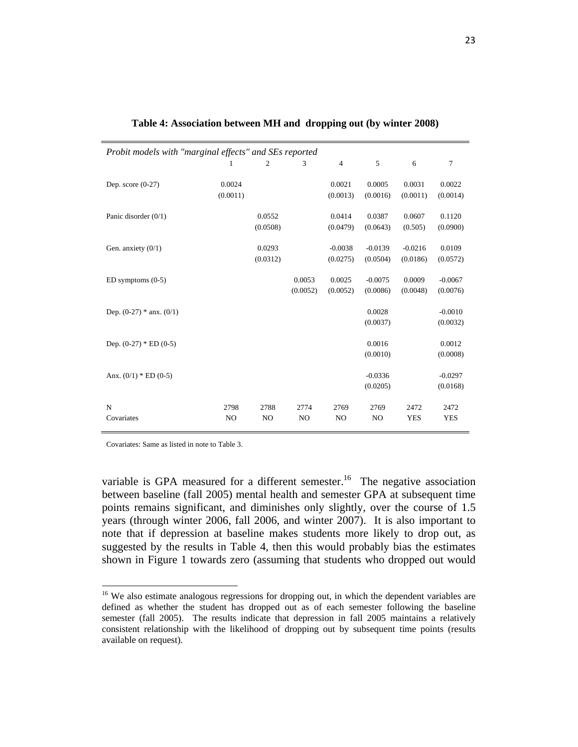| Probit models with "marginal effects" and SEs reported |                        |                        |                        |                        |                        |                       |                       |
|--------------------------------------------------------|------------------------|------------------------|------------------------|------------------------|------------------------|-----------------------|-----------------------|
|                                                        |                        | 2                      | 3                      | $\overline{4}$         | 5                      | 6                     | $\overline{7}$        |
| Dep. score $(0-27)$                                    | 0.0024<br>(0.0011)     |                        |                        | 0.0021<br>(0.0013)     | 0.0005<br>(0.0016)     | 0.0031<br>(0.0011)    | 0.0022<br>(0.0014)    |
| Panic disorder $(0/1)$                                 |                        | 0.0552<br>(0.0508)     |                        | 0.0414<br>(0.0479)     | 0.0387<br>(0.0643)     | 0.0607<br>(0.505)     | 0.1120<br>(0.0900)    |
| Gen. anxiety $(0/1)$                                   |                        | 0.0293<br>(0.0312)     |                        | $-0.0038$<br>(0.0275)  | $-0.0139$<br>(0.0504)  | $-0.0216$<br>(0.0186) | 0.0109<br>(0.0572)    |
| $ED$ symptoms $(0-5)$                                  |                        |                        | 0.0053<br>(0.0052)     | 0.0025<br>(0.0052)     | $-0.0075$<br>(0.0086)  | 0.0009<br>(0.0048)    | $-0.0067$<br>(0.0076) |
| Dep. $(0-27)$ * anx. $(0/1)$                           |                        |                        |                        |                        | 0.0028<br>(0.0037)     |                       | $-0.0010$<br>(0.0032) |
| Dep. $(0-27)$ * ED $(0-5)$                             |                        |                        |                        |                        | 0.0016<br>(0.0010)     |                       | 0.0012<br>(0.0008)    |
| Anx. $(0/1)$ * ED $(0-5)$                              |                        |                        |                        |                        | $-0.0336$<br>(0.0205)  |                       | $-0.0297$<br>(0.0168) |
| N<br>Covariates                                        | 2798<br>N <sub>O</sub> | 2788<br>N <sub>O</sub> | 2774<br>N <sub>O</sub> | 2769<br>N <sub>O</sub> | 2769<br>N <sub>O</sub> | 2472<br><b>YES</b>    | 2472<br><b>YES</b>    |

| Table 4: Association between MH and dropping out (by winter 2008) |  |
|-------------------------------------------------------------------|--|
|-------------------------------------------------------------------|--|

Covariates: Same as listed in note to Table 3.

variable is GPA measured for a different semester.<sup>16</sup> The negative association between baseline (fall 2005) mental health and semester GPA at subsequent time points remains significant, and diminishes only slightly, over the course of 1.5 years (through winter 2006, fall 2006, and winter 2007). It is also important to note that if depression at baseline makes students more likely to drop out, as suggested by the results in Table 4, then this would probably bias the estimates shown in Figure 1 towards zero (assuming that students who dropped out would

<sup>&</sup>lt;sup>16</sup> We also estimate analogous regressions for dropping out, in which the dependent variables are defined as whether the student has dropped out as of each semester following the baseline semester (fall 2005). The results indicate that depression in fall 2005 maintains a relatively consistent relationship with the likelihood of dropping out by subsequent time points (results available on request).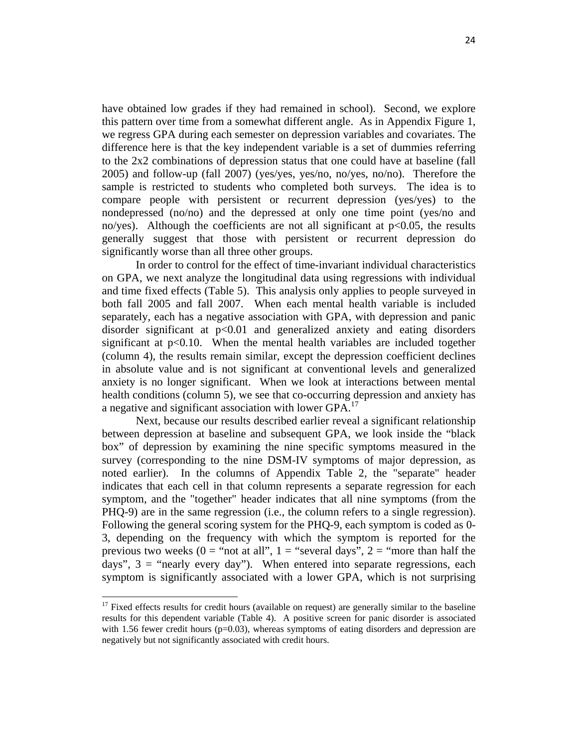have obtained low grades if they had remained in school). Second, we explore this pattern over time from a somewhat different angle. As in Appendix Figure 1, we regress GPA during each semester on depression variables and covariates. The difference here is that the key independent variable is a set of dummies referring to the 2x2 combinations of depression status that one could have at baseline (fall 2005) and follow-up (fall 2007) (yes/yes, yes/no, no/yes, no/no). Therefore the sample is restricted to students who completed both surveys. The idea is to compare people with persistent or recurrent depression (yes/yes) to the nondepressed (no/no) and the depressed at only one time point (yes/no and no/yes). Although the coefficients are not all significant at  $p<0.05$ , the results generally suggest that those with persistent or recurrent depression do significantly worse than all three other groups.

In order to control for the effect of time-invariant individual characteristics on GPA, we next analyze the longitudinal data using regressions with individual and time fixed effects (Table 5). This analysis only applies to people surveyed in both fall 2005 and fall 2007. When each mental health variable is included separately, each has a negative association with GPA, with depression and panic disorder significant at p<0.01 and generalized anxiety and eating disorders significant at  $p<0.10$ . When the mental health variables are included together (column 4), the results remain similar, except the depression coefficient declines in absolute value and is not significant at conventional levels and generalized anxiety is no longer significant. When we look at interactions between mental health conditions (column 5), we see that co-occurring depression and anxiety has a negative and significant association with lower GPA.<sup>17</sup>

Next, because our results described earlier reveal a significant relationship between depression at baseline and subsequent GPA, we look inside the "black box" of depression by examining the nine specific symptoms measured in the survey (corresponding to the nine DSM-IV symptoms of major depression, as noted earlier). In the columns of Appendix Table 2, the "separate" header indicates that each cell in that column represents a separate regression for each symptom, and the "together" header indicates that all nine symptoms (from the PHQ-9) are in the same regression (i.e., the column refers to a single regression). Following the general scoring system for the PHQ-9, each symptom is coded as 0- 3, depending on the frequency with which the symptom is reported for the previous two weeks ( $0 =$  "not at all",  $1 =$  "several days",  $2 =$  "more than half the days",  $3 =$  "nearly every day"). When entered into separate regressions, each symptom is significantly associated with a lower GPA, which is not surprising

 $17$  Fixed effects results for credit hours (available on request) are generally similar to the baseline results for this dependent variable (Table 4). A positive screen for panic disorder is associated with 1.56 fewer credit hours ( $p=0.03$ ), whereas symptoms of eating disorders and depression are negatively but not significantly associated with credit hours.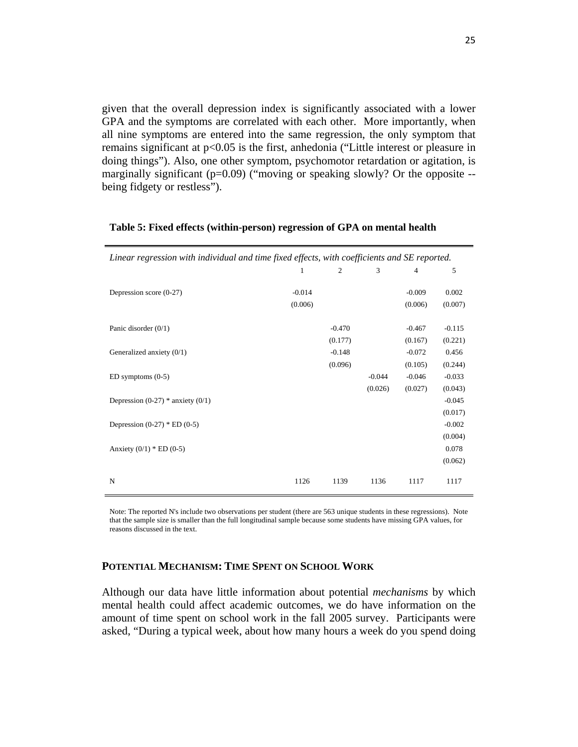given that the overall depression index is significantly associated with a lower GPA and the symptoms are correlated with each other. More importantly, when all nine symptoms are entered into the same regression, the only symptom that remains significant at p<0.05 is the first, anhedonia ("Little interest or pleasure in doing things"). Also, one other symptom, psychomotor retardation or agitation, is marginally significant (p=0.09) ("moving or speaking slowly? Or the opposite -being fidgety or restless").

| Linear regression with individual and time fixed effects, with coefficients and SE reported. |          |          |          |                |          |  |  |
|----------------------------------------------------------------------------------------------|----------|----------|----------|----------------|----------|--|--|
|                                                                                              | 1        | 2        | 3        | $\overline{4}$ | 5        |  |  |
|                                                                                              |          |          |          |                |          |  |  |
| Depression score (0-27)                                                                      | $-0.014$ |          |          | $-0.009$       | 0.002    |  |  |
|                                                                                              | (0.006)  |          |          | (0.006)        | (0.007)  |  |  |
|                                                                                              |          |          |          |                |          |  |  |
| Panic disorder $(0/1)$                                                                       |          | $-0.470$ |          | $-0.467$       | $-0.115$ |  |  |
|                                                                                              |          | (0.177)  |          | (0.167)        | (0.221)  |  |  |
| Generalized anxiety $(0/1)$                                                                  |          | $-0.148$ |          | $-0.072$       | 0.456    |  |  |
|                                                                                              |          | (0.096)  |          | (0.105)        | (0.244)  |  |  |
| $ED$ symptoms $(0-5)$                                                                        |          |          | $-0.044$ | $-0.046$       | $-0.033$ |  |  |
|                                                                                              |          |          | (0.026)  | (0.027)        | (0.043)  |  |  |
| Depression $(0-27)$ * anxiety $(0/1)$                                                        |          |          |          |                | $-0.045$ |  |  |
|                                                                                              |          |          |          |                | (0.017)  |  |  |
| Depression $(0-27)$ * ED $(0-5)$                                                             |          |          |          |                | $-0.002$ |  |  |
|                                                                                              |          |          |          |                | (0.004)  |  |  |
| Anxiety $(0/1) * ED (0-5)$                                                                   |          |          |          |                | 0.078    |  |  |
|                                                                                              |          |          |          |                | (0.062)  |  |  |
|                                                                                              |          |          |          |                |          |  |  |
| N                                                                                            | 1126     | 1139     | 1136     | 1117           | 1117     |  |  |
|                                                                                              |          |          |          |                |          |  |  |

#### **Table 5: Fixed effects (within-person) regression of GPA on mental health**

Note: The reported N's include two observations per student (there are 563 unique students in these regressions). Note that the sample size is smaller than the full longitudinal sample because some students have missing GPA values, for reasons discussed in the text.

### **POTENTIAL MECHANISM: TIME SPENT ON SCHOOL WORK**

Although our data have little information about potential *mechanisms* by which mental health could affect academic outcomes, we do have information on the amount of time spent on school work in the fall 2005 survey. Participants were asked, "During a typical week, about how many hours a week do you spend doing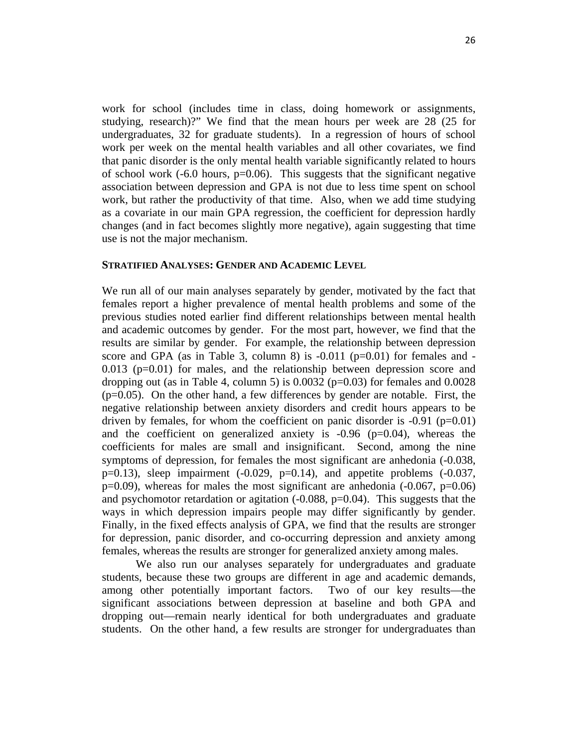work for school (includes time in class, doing homework or assignments, studying, research)?" We find that the mean hours per week are 28 (25 for undergraduates, 32 for graduate students). In a regression of hours of school work per week on the mental health variables and all other covariates, we find that panic disorder is the only mental health variable significantly related to hours of school work  $(-6.0 \text{ hours}, \text{p} = 0.06)$ . This suggests that the significant negative association between depression and GPA is not due to less time spent on school work, but rather the productivity of that time. Also, when we add time studying as a covariate in our main GPA regression, the coefficient for depression hardly changes (and in fact becomes slightly more negative), again suggesting that time use is not the major mechanism.

### **STRATIFIED ANALYSES: GENDER AND ACADEMIC LEVEL**

We run all of our main analyses separately by gender, motivated by the fact that females report a higher prevalence of mental health problems and some of the previous studies noted earlier find different relationships between mental health and academic outcomes by gender. For the most part, however, we find that the results are similar by gender. For example, the relationship between depression score and GPA (as in Table 3, column 8) is  $-0.011$  (p=0.01) for females and  $0.013$  ( $p=0.01$ ) for males, and the relationship between depression score and dropping out (as in Table 4, column 5) is  $0.0032$  (p=0.03) for females and  $0.0028$  $(p=0.05)$ . On the other hand, a few differences by gender are notable. First, the negative relationship between anxiety disorders and credit hours appears to be driven by females, for whom the coefficient on panic disorder is  $-0.91$  (p=0.01) and the coefficient on generalized anxiety is  $-0.96$  ( $p=0.04$ ), whereas the coefficients for males are small and insignificant. Second, among the nine symptoms of depression, for females the most significant are anhedonia  $(-0.038, ...)$  $p=0.13$ ), sleep impairment  $(-0.029, p=0.14)$ , and appetite problems  $(-0.037, p=0.14)$  $p=0.09$ ), whereas for males the most significant are anhedonia (-0.067,  $p=0.06$ ) and psychomotor retardation or agitation  $(-0.088, p=0.04)$ . This suggests that the ways in which depression impairs people may differ significantly by gender. Finally, in the fixed effects analysis of GPA, we find that the results are stronger for depression, panic disorder, and co-occurring depression and anxiety among females, whereas the results are stronger for generalized anxiety among males.

We also run our analyses separately for undergraduates and graduate students, because these two groups are different in age and academic demands, among other potentially important factors. Two of our key results—the significant associations between depression at baseline and both GPA and dropping out—remain nearly identical for both undergraduates and graduate students. On the other hand, a few results are stronger for undergraduates than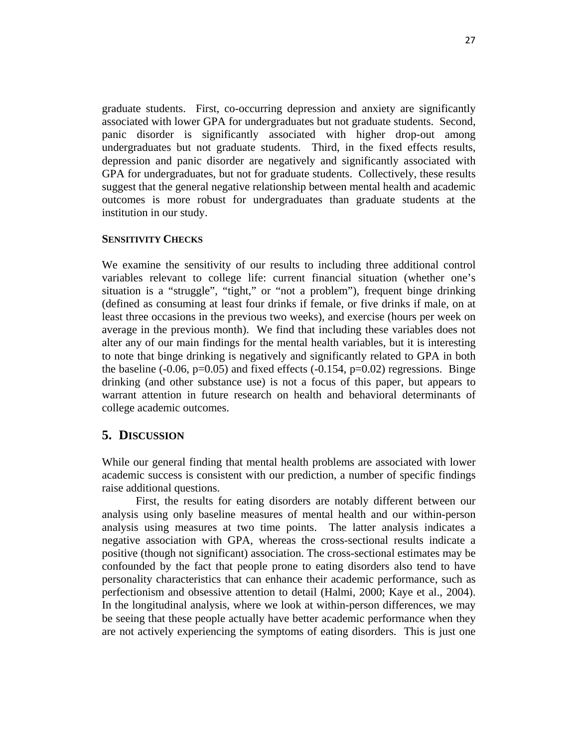graduate students. First, co-occurring depression and anxiety are significantly associated with lower GPA for undergraduates but not graduate students. Second, panic disorder is significantly associated with higher drop-out among undergraduates but not graduate students. Third, in the fixed effects results, depression and panic disorder are negatively and significantly associated with GPA for undergraduates, but not for graduate students. Collectively, these results suggest that the general negative relationship between mental health and academic outcomes is more robust for undergraduates than graduate students at the institution in our study.

### **SENSITIVITY CHECKS**

We examine the sensitivity of our results to including three additional control variables relevant to college life: current financial situation (whether one's situation is a "struggle", "tight," or "not a problem"), frequent binge drinking (defined as consuming at least four drinks if female, or five drinks if male, on at least three occasions in the previous two weeks), and exercise (hours per week on average in the previous month). We find that including these variables does not alter any of our main findings for the mental health variables, but it is interesting to note that binge drinking is negatively and significantly related to GPA in both the baseline  $(-0.06, p=0.05)$  and fixed effects  $(-0.154, p=0.02)$  regressions. Binge drinking (and other substance use) is not a focus of this paper, but appears to warrant attention in future research on health and behavioral determinants of college academic outcomes.

# **5. DISCUSSION**

While our general finding that mental health problems are associated with lower academic success is consistent with our prediction, a number of specific findings raise additional questions.

First, the results for eating disorders are notably different between our analysis using only baseline measures of mental health and our within-person analysis using measures at two time points. The latter analysis indicates a negative association with GPA, whereas the cross-sectional results indicate a positive (though not significant) association. The cross-sectional estimates may be confounded by the fact that people prone to eating disorders also tend to have personality characteristics that can enhance their academic performance, such as perfectionism and obsessive attention to detail (Halmi, 2000; Kaye et al., 2004). In the longitudinal analysis, where we look at within-person differences, we may be seeing that these people actually have better academic performance when they are not actively experiencing the symptoms of eating disorders. This is just one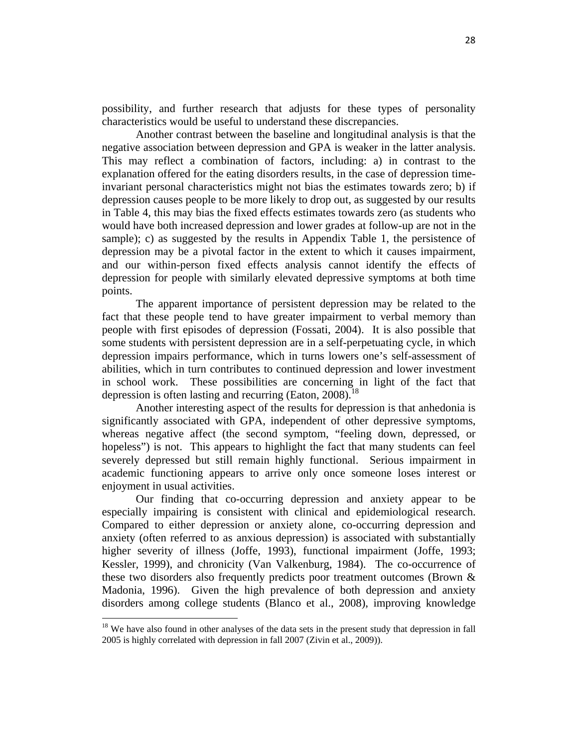possibility, and further research that adjusts for these types of personality characteristics would be useful to understand these discrepancies.

Another contrast between the baseline and longitudinal analysis is that the negative association between depression and GPA is weaker in the latter analysis. This may reflect a combination of factors, including: a) in contrast to the explanation offered for the eating disorders results, in the case of depression timeinvariant personal characteristics might not bias the estimates towards zero; b) if depression causes people to be more likely to drop out, as suggested by our results in Table 4, this may bias the fixed effects estimates towards zero (as students who would have both increased depression and lower grades at follow-up are not in the sample); c) as suggested by the results in Appendix Table 1, the persistence of depression may be a pivotal factor in the extent to which it causes impairment, and our within-person fixed effects analysis cannot identify the effects of depression for people with similarly elevated depressive symptoms at both time points.

The apparent importance of persistent depression may be related to the fact that these people tend to have greater impairment to verbal memory than people with first episodes of depression (Fossati, 2004). It is also possible that some students with persistent depression are in a self-perpetuating cycle, in which depression impairs performance, which in turns lowers one's self-assessment of abilities, which in turn contributes to continued depression and lower investment in school work. These possibilities are concerning in light of the fact that depression is often lasting and recurring (Eaton,  $2008$ ).<sup>18</sup>

Another interesting aspect of the results for depression is that anhedonia is significantly associated with GPA, independent of other depressive symptoms, whereas negative affect (the second symptom, "feeling down, depressed, or hopeless") is not. This appears to highlight the fact that many students can feel severely depressed but still remain highly functional. Serious impairment in academic functioning appears to arrive only once someone loses interest or enjoyment in usual activities.

Our finding that co-occurring depression and anxiety appear to be especially impairing is consistent with clinical and epidemiological research. Compared to either depression or anxiety alone, co-occurring depression and anxiety (often referred to as anxious depression) is associated with substantially higher severity of illness (Joffe, 1993), functional impairment (Joffe, 1993; Kessler, 1999), and chronicity (Van Valkenburg, 1984). The co-occurrence of these two disorders also frequently predicts poor treatment outcomes (Brown & Madonia, 1996). Given the high prevalence of both depression and anxiety disorders among college students (Blanco et al., 2008), improving knowledge

<sup>&</sup>lt;sup>18</sup> We have also found in other analyses of the data sets in the present study that depression in fall 2005 is highly correlated with depression in fall 2007 (Zivin et al., 2009)).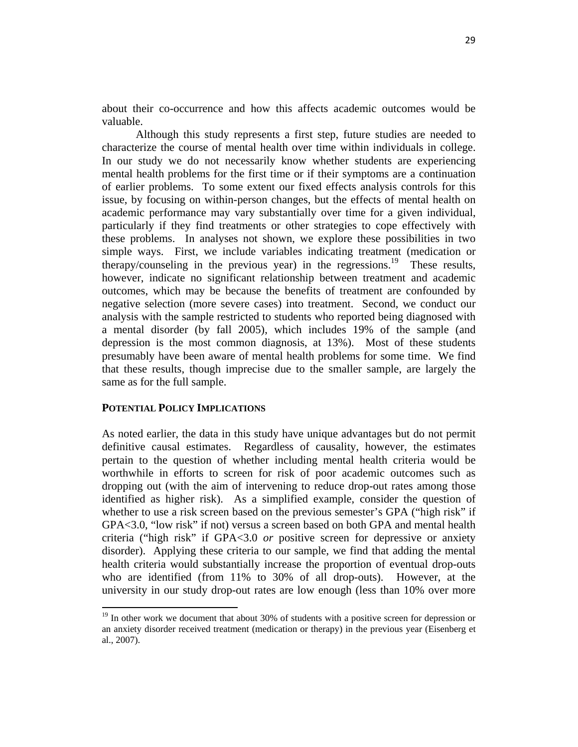about their co-occurrence and how this affects academic outcomes would be valuable.

Although this study represents a first step, future studies are needed to characterize the course of mental health over time within individuals in college. In our study we do not necessarily know whether students are experiencing mental health problems for the first time or if their symptoms are a continuation of earlier problems. To some extent our fixed effects analysis controls for this issue, by focusing on within-person changes, but the effects of mental health on academic performance may vary substantially over time for a given individual, particularly if they find treatments or other strategies to cope effectively with these problems. In analyses not shown, we explore these possibilities in two simple ways. First, we include variables indicating treatment (medication or therapy/counseling in the previous year) in the regressions.<sup>19</sup> These results, however, indicate no significant relationship between treatment and academic outcomes, which may be because the benefits of treatment are confounded by negative selection (more severe cases) into treatment. Second, we conduct our analysis with the sample restricted to students who reported being diagnosed with a mental disorder (by fall 2005), which includes 19% of the sample (and depression is the most common diagnosis, at 13%). Most of these students presumably have been aware of mental health problems for some time. We find that these results, though imprecise due to the smaller sample, are largely the same as for the full sample.

#### **POTENTIAL POLICY IMPLICATIONS**

As noted earlier, the data in this study have unique advantages but do not permit definitive causal estimates. Regardless of causality, however, the estimates pertain to the question of whether including mental health criteria would be worthwhile in efforts to screen for risk of poor academic outcomes such as dropping out (with the aim of intervening to reduce drop-out rates among those identified as higher risk). As a simplified example, consider the question of whether to use a risk screen based on the previous semester's GPA ("high risk" if GPA<3.0, "low risk" if not) versus a screen based on both GPA and mental health criteria ("high risk" if GPA<3.0 *or* positive screen for depressive or anxiety disorder). Applying these criteria to our sample, we find that adding the mental health criteria would substantially increase the proportion of eventual drop-outs who are identified (from 11% to 30% of all drop-outs). However, at the university in our study drop-out rates are low enough (less than 10% over more

 $19$  In other work we document that about 30% of students with a positive screen for depression or an anxiety disorder received treatment (medication or therapy) in the previous year (Eisenberg et al., 2007).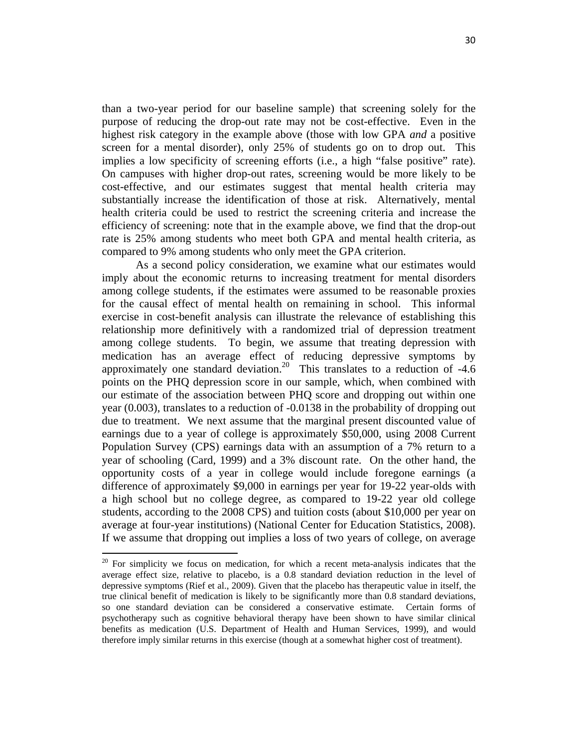than a two-year period for our baseline sample) that screening solely for the purpose of reducing the drop-out rate may not be cost-effective. Even in the highest risk category in the example above (those with low GPA *and* a positive screen for a mental disorder), only 25% of students go on to drop out. This implies a low specificity of screening efforts (i.e., a high "false positive" rate). On campuses with higher drop-out rates, screening would be more likely to be cost-effective, and our estimates suggest that mental health criteria may substantially increase the identification of those at risk. Alternatively, mental health criteria could be used to restrict the screening criteria and increase the efficiency of screening: note that in the example above, we find that the drop-out rate is 25% among students who meet both GPA and mental health criteria, as compared to 9% among students who only meet the GPA criterion.

As a second policy consideration, we examine what our estimates would imply about the economic returns to increasing treatment for mental disorders among college students, if the estimates were assumed to be reasonable proxies for the causal effect of mental health on remaining in school. This informal exercise in cost-benefit analysis can illustrate the relevance of establishing this relationship more definitively with a randomized trial of depression treatment among college students. To begin, we assume that treating depression with medication has an average effect of reducing depressive symptoms by approximately one standard deviation.<sup>20</sup> This translates to a reduction of  $-4.6$ points on the PHQ depression score in our sample, which, when combined with our estimate of the association between PHQ score and dropping out within one year (0.003), translates to a reduction of -0.0138 in the probability of dropping out due to treatment. We next assume that the marginal present discounted value of earnings due to a year of college is approximately \$50,000, using 2008 Current Population Survey (CPS) earnings data with an assumption of a 7% return to a year of schooling (Card, 1999) and a 3% discount rate. On the other hand, the opportunity costs of a year in college would include foregone earnings (a difference of approximately \$9,000 in earnings per year for 19-22 year-olds with a high school but no college degree, as compared to 19-22 year old college students, according to the 2008 CPS) and tuition costs (about \$10,000 per year on average at four-year institutions) (National Center for Education Statistics, 2008). If we assume that dropping out implies a loss of two years of college, on average

 $20$  For simplicity we focus on medication, for which a recent meta-analysis indicates that the average effect size, relative to placebo, is a 0.8 standard deviation reduction in the level of depressive symptoms (Rief et al., 2009). Given that the placebo has therapeutic value in itself, the true clinical benefit of medication is likely to be significantly more than 0.8 standard deviations, so one standard deviation can be considered a conservative estimate. Certain forms of psychotherapy such as cognitive behavioral therapy have been shown to have similar clinical benefits as medication (U.S. Department of Health and Human Services, 1999), and would therefore imply similar returns in this exercise (though at a somewhat higher cost of treatment).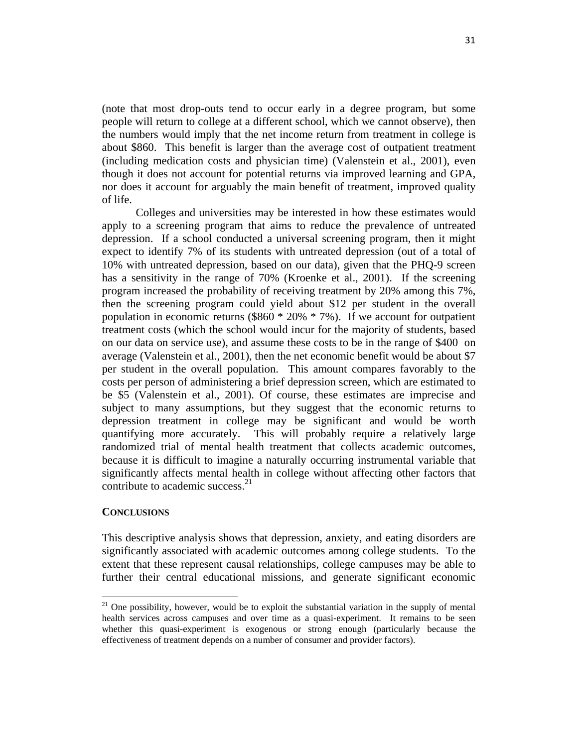(note that most drop-outs tend to occur early in a degree program, but some people will return to college at a different school, which we cannot observe), then the numbers would imply that the net income return from treatment in college is about \$860. This benefit is larger than the average cost of outpatient treatment (including medication costs and physician time) (Valenstein et al., 2001), even though it does not account for potential returns via improved learning and GPA, nor does it account for arguably the main benefit of treatment, improved quality of life.

Colleges and universities may be interested in how these estimates would apply to a screening program that aims to reduce the prevalence of untreated depression. If a school conducted a universal screening program, then it might expect to identify 7% of its students with untreated depression (out of a total of 10% with untreated depression, based on our data), given that the PHQ-9 screen has a sensitivity in the range of 70% (Kroenke et al., 2001). If the screening program increased the probability of receiving treatment by 20% among this 7%, then the screening program could yield about \$12 per student in the overall population in economic returns ( $$860 * 20\% * 7\%$ ). If we account for outpatient treatment costs (which the school would incur for the majority of students, based on our data on service use), and assume these costs to be in the range of \$400 on average (Valenstein et al., 2001), then the net economic benefit would be about \$7 per student in the overall population. This amount compares favorably to the costs per person of administering a brief depression screen, which are estimated to be \$5 (Valenstein et al., 2001). Of course, these estimates are imprecise and subject to many assumptions, but they suggest that the economic returns to depression treatment in college may be significant and would be worth quantifying more accurately. This will probably require a relatively large randomized trial of mental health treatment that collects academic outcomes, because it is difficult to imagine a naturally occurring instrumental variable that significantly affects mental health in college without affecting other factors that contribute to academic success. $2<sup>1</sup>$ 

### **CONCLUSIONS**

This descriptive analysis shows that depression, anxiety, and eating disorders are significantly associated with academic outcomes among college students. To the extent that these represent causal relationships, college campuses may be able to further their central educational missions, and generate significant economic

 $21$  One possibility, however, would be to exploit the substantial variation in the supply of mental health services across campuses and over time as a quasi-experiment. It remains to be seen whether this quasi-experiment is exogenous or strong enough (particularly because the effectiveness of treatment depends on a number of consumer and provider factors).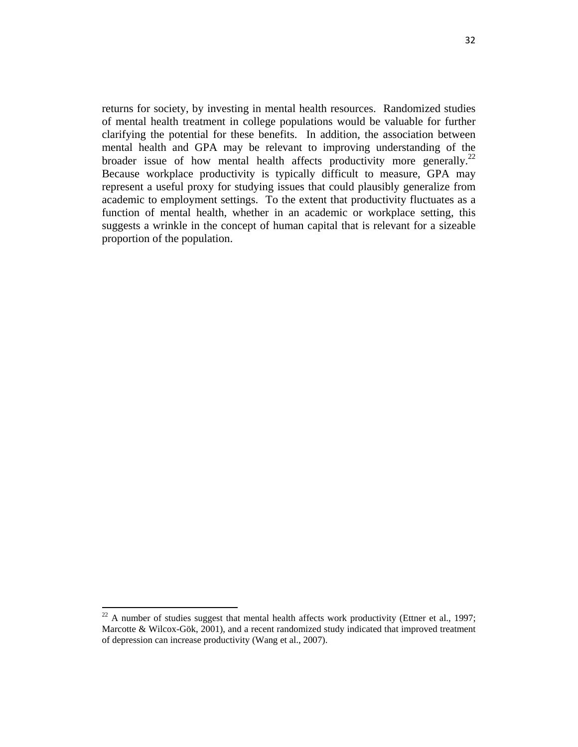returns for society, by investing in mental health resources. Randomized studies of mental health treatment in college populations would be valuable for further clarifying the potential for these benefits. In addition, the association between mental health and GPA may be relevant to improving understanding of the broader issue of how mental health affects productivity more generally.<sup>22</sup> Because workplace productivity is typically difficult to measure, GPA may represent a useful proxy for studying issues that could plausibly generalize from academic to employment settings. To the extent that productivity fluctuates as a function of mental health, whether in an academic or workplace setting, this suggests a wrinkle in the concept of human capital that is relevant for a sizeable proportion of the population.

 $22$  A number of studies suggest that mental health affects work productivity (Ettner et al., 1997; Marcotte & Wilcox-Gök, 2001), and a recent randomized study indicated that improved treatment of depression can increase productivity (Wang et al., 2007).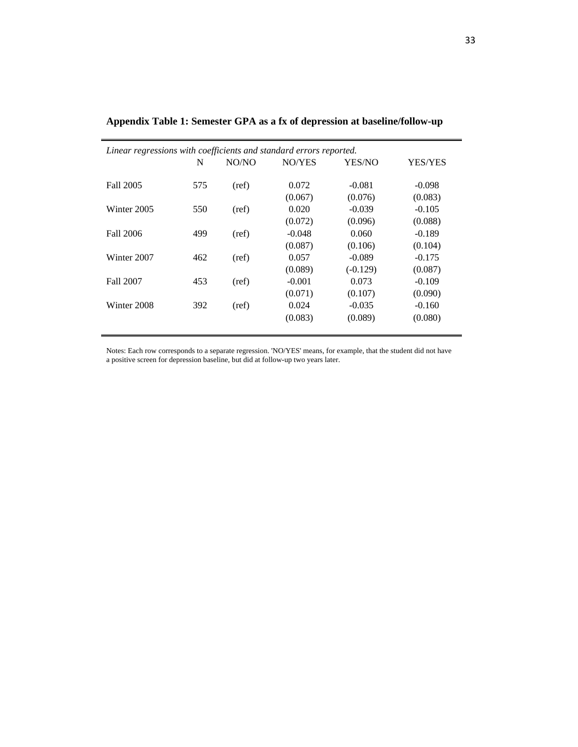| Linear regressions with coefficients and standard errors reported. |     |       |          |            |                |  |  |  |
|--------------------------------------------------------------------|-----|-------|----------|------------|----------------|--|--|--|
|                                                                    | N   | NO/NO | NO/YES   | YES/NO     | <b>YES/YES</b> |  |  |  |
|                                                                    |     |       |          |            |                |  |  |  |
| Fall 2005                                                          | 575 | (ref) | 0.072    | $-0.081$   | $-0.098$       |  |  |  |
|                                                                    |     |       | (0.067)  | (0.076)    | (0.083)        |  |  |  |
| Winter 2005                                                        | 550 | (ref) | 0.020    | $-0.039$   | $-0.105$       |  |  |  |
|                                                                    |     |       | (0.072)  | (0.096)    | (0.088)        |  |  |  |
| <b>Fall 2006</b>                                                   | 499 | (ref) | $-0.048$ | 0.060      | $-0.189$       |  |  |  |
|                                                                    |     |       | (0.087)  | (0.106)    | (0.104)        |  |  |  |
| Winter 2007                                                        | 462 | (ref) | 0.057    | $-0.089$   | $-0.175$       |  |  |  |
|                                                                    |     |       | (0.089)  | $(-0.129)$ | (0.087)        |  |  |  |
| Fall 2007                                                          | 453 | (ref) | $-0.001$ | 0.073      | $-0.109$       |  |  |  |
|                                                                    |     |       | (0.071)  | (0.107)    | (0.090)        |  |  |  |
| Winter 2008                                                        | 392 | (ref) | 0.024    | $-0.035$   | $-0.160$       |  |  |  |
|                                                                    |     |       | (0.083)  | (0.089)    | (0.080)        |  |  |  |
|                                                                    |     |       |          |            |                |  |  |  |

**Appendix Table 1: Semester GPA as a fx of depression at baseline/follow-up** 

Notes: Each row corresponds to a separate regression. 'NO/YES' means, for example, that the student did not have a positive screen for depression baseline, but did at follow-up two years later.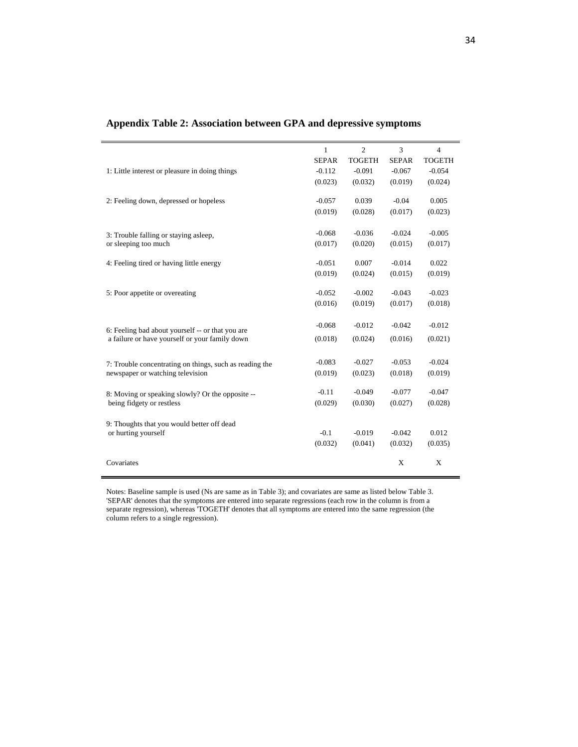|                                                                               | $\mathbf{1}$        | $\overline{2}$ | 3                  | $\overline{4}$   |
|-------------------------------------------------------------------------------|---------------------|----------------|--------------------|------------------|
|                                                                               | <b>SEPAR</b>        | <b>TOGETH</b>  | <b>SEPAR</b>       | <b>TOGETH</b>    |
| 1: Little interest or pleasure in doing things                                | $-0.112$            | $-0.091$       | $-0.067$           | $-0.054$         |
|                                                                               | (0.023)             | (0.032)        | (0.019)            | (0.024)          |
|                                                                               |                     | 0.039          |                    |                  |
| 2: Feeling down, depressed or hopeless                                        | $-0.057$<br>(0.019) | (0.028)        | $-0.04$<br>(0.017) | 0.005<br>(0.023) |
|                                                                               |                     |                |                    |                  |
| 3: Trouble falling or staying asleep,                                         | $-0.068$            | $-0.036$       | $-0.024$           | $-0.005$         |
| or sleeping too much                                                          | (0.017)             | (0.020)        | (0.015)            | (0.017)          |
|                                                                               |                     |                |                    |                  |
| 4: Feeling tired or having little energy                                      | $-0.051$            | 0.007          | $-0.014$           | 0.022            |
|                                                                               | (0.019)             | (0.024)        | (0.015)            | (0.019)          |
|                                                                               |                     |                |                    |                  |
| 5: Poor appetite or overeating                                                | $-0.052$            | $-0.002$       | $-0.043$           | $-0.023$         |
|                                                                               | (0.016)             | (0.019)        | (0.017)            | (0.018)          |
|                                                                               | $-0.068$            | $-0.012$       | $-0.042$           | $-0.012$         |
| 6: Feeling bad about yourself -- or that you are                              |                     |                |                    |                  |
| a failure or have yourself or your family down                                | (0.018)             | (0.024)        | (0.016)            | (0.021)          |
|                                                                               |                     |                |                    |                  |
| 7: Trouble concentrating on things, such as reading the                       | $-0.083$            | $-0.027$       | $-0.053$           | $-0.024$         |
| newspaper or watching television                                              | (0.019)             | (0.023)        | (0.018)            | (0.019)          |
|                                                                               | $-0.11$             | $-0.049$       | $-0.077$           | $-0.047$         |
| 8: Moving or speaking slowly? Or the opposite --<br>being fidgety or restless | (0.029)             | (0.030)        | (0.027)            | (0.028)          |
|                                                                               |                     |                |                    |                  |
| 9: Thoughts that you would better off dead                                    |                     |                |                    |                  |
| or hurting yourself                                                           | $-0.1$              | $-0.019$       | $-0.042$           | 0.012            |
|                                                                               | (0.032)             | (0.041)        | (0.032)            | (0.035)          |
|                                                                               |                     |                |                    |                  |
| Covariates                                                                    |                     |                | X                  | X                |
|                                                                               |                     |                |                    |                  |

# **Appendix Table 2: Association between GPA and depressive symptoms**

Notes: Baseline sample is used (Ns are same as in Table 3); and covariates are same as listed below Table 3. 'SEPAR' denotes that the symptoms are entered into separate regressions (each row in the column is from a separate regression), whereas 'TOGETH' denotes that all symptoms are entered into the same regression (the column refers to a single regression).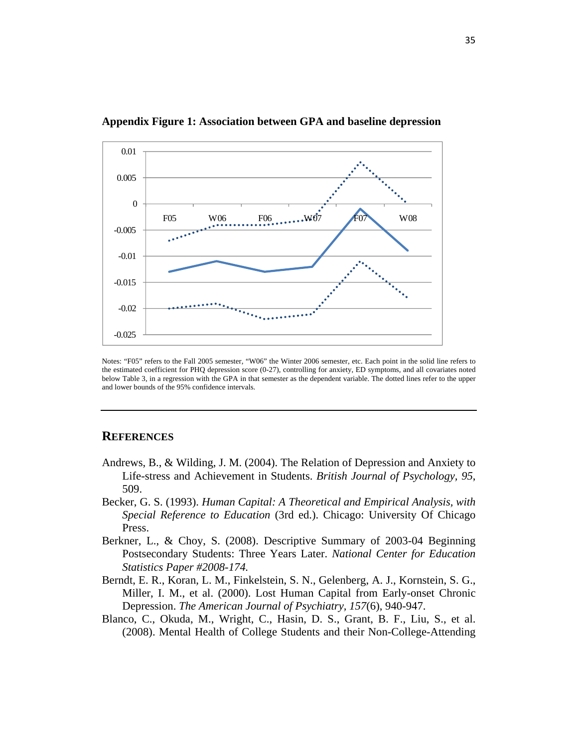

**Appendix Figure 1: Association between GPA and baseline depression** 

Notes: "F05" refers to the Fall 2005 semester, "W06" the Winter 2006 semester, etc. Each point in the solid line refers to the estimated coefficient for PHQ depression score (0-27), controlling for anxiety, ED symptoms, and all covariates noted below Table 3, in a regression with the GPA in that semester as the dependent variable. The dotted lines refer to the upper and lower bounds of the 95% confidence intervals.

# **REFERENCES**

- Andrews, B., & Wilding, J. M. (2004). The Relation of Depression and Anxiety to Life-stress and Achievement in Students. *British Journal of Psychology, 95*, 509.
- Becker, G. S. (1993). *Human Capital: A Theoretical and Empirical Analysis, with Special Reference to Education* (3rd ed.). Chicago: University Of Chicago Press.
- Berkner, L., & Choy, S. (2008). Descriptive Summary of 2003-04 Beginning Postsecondary Students: Three Years Later. *National Center for Education Statistics Paper #2008-174.*
- Berndt, E. R., Koran, L. M., Finkelstein, S. N., Gelenberg, A. J., Kornstein, S. G., Miller, I. M., et al. (2000). Lost Human Capital from Early-onset Chronic Depression. *The American Journal of Psychiatry, 157*(6), 940-947.
- Blanco, C., Okuda, M., Wright, C., Hasin, D. S., Grant, B. F., Liu, S., et al. (2008). Mental Health of College Students and their Non-College-Attending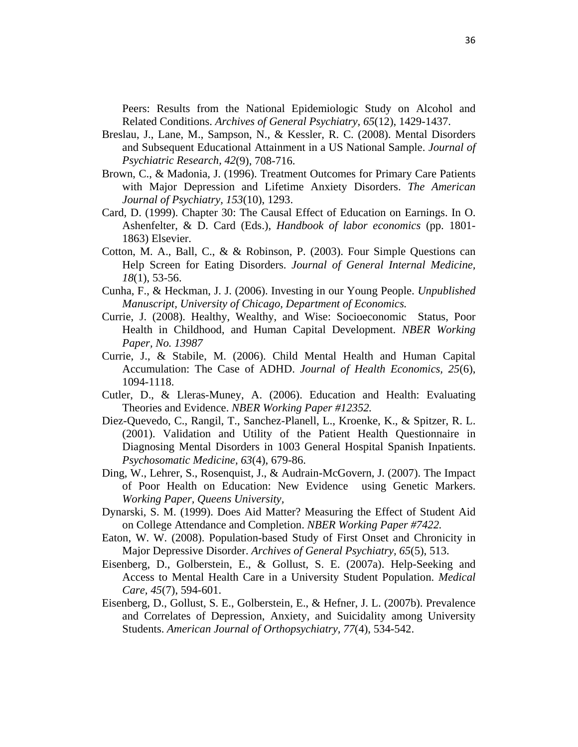Peers: Results from the National Epidemiologic Study on Alcohol and Related Conditions. *Archives of General Psychiatry, 65*(12), 1429-1437.

- Breslau, J., Lane, M., Sampson, N., & Kessler, R. C. (2008). Mental Disorders and Subsequent Educational Attainment in a US National Sample. *Journal of Psychiatric Research, 42*(9), 708-716.
- Brown, C., & Madonia, J. (1996). Treatment Outcomes for Primary Care Patients with Major Depression and Lifetime Anxiety Disorders. *The American Journal of Psychiatry, 153*(10), 1293.
- Card, D. (1999). Chapter 30: The Causal Effect of Education on Earnings. In O. Ashenfelter, & D. Card (Eds.), *Handbook of labor economics* (pp. 1801- 1863) Elsevier.
- Cotton, M. A., Ball, C., & & Robinson, P. (2003). Four Simple Questions can Help Screen for Eating Disorders. *Journal of General Internal Medicine, 18*(1), 53-56.
- Cunha, F., & Heckman, J. J. (2006). Investing in our Young People. *Unpublished Manuscript, University of Chicago, Department of Economics.*
- Currie, J. (2008). Healthy, Wealthy, and Wise: Socioeconomic Status, Poor Health in Childhood, and Human Capital Development. *NBER Working Paper, No. 13987*
- Currie, J., & Stabile, M. (2006). Child Mental Health and Human Capital Accumulation: The Case of ADHD. *Journal of Health Economics, 25*(6), 1094-1118.
- Cutler, D., & Lleras-Muney, A. (2006). Education and Health: Evaluating Theories and Evidence. *NBER Working Paper #12352.*
- Diez-Quevedo, C., Rangil, T., Sanchez-Planell, L., Kroenke, K., & Spitzer, R. L. (2001). Validation and Utility of the Patient Health Questionnaire in Diagnosing Mental Disorders in 1003 General Hospital Spanish Inpatients. *Psychosomatic Medicine, 63*(4), 679-86.
- Ding, W., Lehrer, S., Rosenquist, J., & Audrain-McGovern, J. (2007). The Impact of Poor Health on Education: New Evidence using Genetic Markers. *Working Paper, Queens University,*
- Dynarski, S. M. (1999). Does Aid Matter? Measuring the Effect of Student Aid on College Attendance and Completion. *NBER Working Paper #7422.*
- Eaton, W. W. (2008). Population-based Study of First Onset and Chronicity in Major Depressive Disorder. *Archives of General Psychiatry, 65*(5), 513.
- Eisenberg, D., Golberstein, E., & Gollust, S. E. (2007a). Help-Seeking and Access to Mental Health Care in a University Student Population. *Medical Care, 45*(7), 594-601.
- Eisenberg, D., Gollust, S. E., Golberstein, E., & Hefner, J. L. (2007b). Prevalence and Correlates of Depression, Anxiety, and Suicidality among University Students. *American Journal of Orthopsychiatry, 77*(4), 534-542.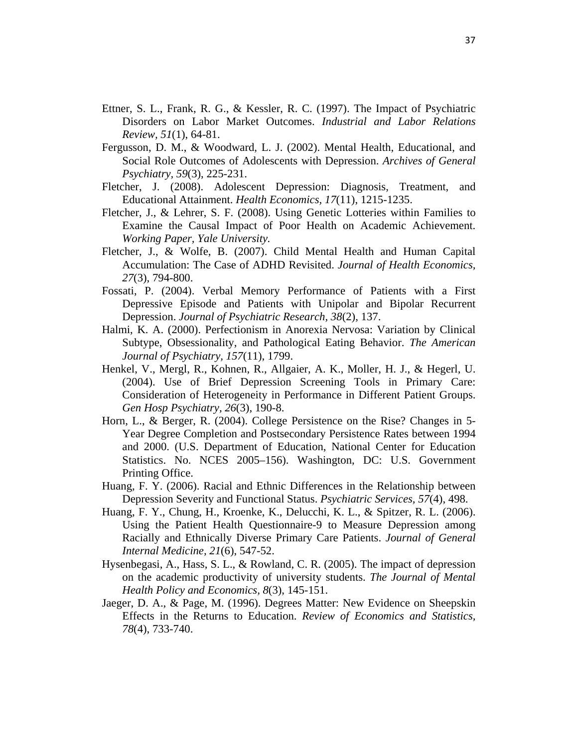- Ettner, S. L., Frank, R. G., & Kessler, R. C. (1997). The Impact of Psychiatric Disorders on Labor Market Outcomes. *Industrial and Labor Relations Review, 51*(1), 64-81.
- Fergusson, D. M., & Woodward, L. J. (2002). Mental Health, Educational, and Social Role Outcomes of Adolescents with Depression. *Archives of General Psychiatry, 59*(3), 225-231.
- Fletcher, J. (2008). Adolescent Depression: Diagnosis, Treatment, and Educational Attainment. *Health Economics, 17*(11), 1215-1235.
- Fletcher, J., & Lehrer, S. F. (2008). Using Genetic Lotteries within Families to Examine the Causal Impact of Poor Health on Academic Achievement. *Working Paper, Yale University.*
- Fletcher, J., & Wolfe, B. (2007). Child Mental Health and Human Capital Accumulation: The Case of ADHD Revisited. *Journal of Health Economics, 27*(3), 794-800.
- Fossati, P. (2004). Verbal Memory Performance of Patients with a First Depressive Episode and Patients with Unipolar and Bipolar Recurrent Depression. *Journal of Psychiatric Research, 38*(2), 137.
- Halmi, K. A. (2000). Perfectionism in Anorexia Nervosa: Variation by Clinical Subtype, Obsessionality, and Pathological Eating Behavior. *The American Journal of Psychiatry, 157*(11), 1799.
- Henkel, V., Mergl, R., Kohnen, R., Allgaier, A. K., Moller, H. J., & Hegerl, U. (2004). Use of Brief Depression Screening Tools in Primary Care: Consideration of Heterogeneity in Performance in Different Patient Groups. *Gen Hosp Psychiatry, 26*(3), 190-8.
- Horn, L., & Berger, R. (2004). College Persistence on the Rise? Changes in 5- Year Degree Completion and Postsecondary Persistence Rates between 1994 and 2000. (U.S. Department of Education, National Center for Education Statistics. No. NCES 2005–156). Washington, DC: U.S. Government Printing Office.
- Huang, F. Y. (2006). Racial and Ethnic Differences in the Relationship between Depression Severity and Functional Status. *Psychiatric Services, 57*(4), 498.
- Huang, F. Y., Chung, H., Kroenke, K., Delucchi, K. L., & Spitzer, R. L. (2006). Using the Patient Health Questionnaire-9 to Measure Depression among Racially and Ethnically Diverse Primary Care Patients. *Journal of General Internal Medicine, 21*(6), 547-52.
- Hysenbegasi, A., Hass, S. L., & Rowland, C. R. (2005). The impact of depression on the academic productivity of university students. *The Journal of Mental Health Policy and Economics, 8*(3), 145-151.
- Jaeger, D. A., & Page, M. (1996). Degrees Matter: New Evidence on Sheepskin Effects in the Returns to Education. *Review of Economics and Statistics, 78*(4), 733-740.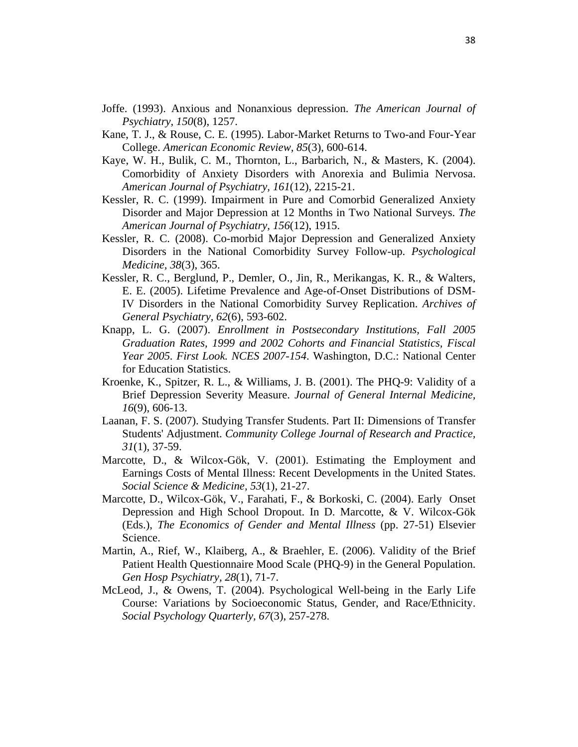- Joffe. (1993). Anxious and Nonanxious depression. *The American Journal of Psychiatry, 150*(8), 1257.
- Kane, T. J., & Rouse, C. E. (1995). Labor-Market Returns to Two-and Four-Year College. *American Economic Review, 85*(3), 600-614.
- Kaye, W. H., Bulik, C. M., Thornton, L., Barbarich, N., & Masters, K. (2004). Comorbidity of Anxiety Disorders with Anorexia and Bulimia Nervosa. *American Journal of Psychiatry, 161*(12), 2215-21.
- Kessler, R. C. (1999). Impairment in Pure and Comorbid Generalized Anxiety Disorder and Major Depression at 12 Months in Two National Surveys. *The American Journal of Psychiatry, 156*(12), 1915.
- Kessler, R. C. (2008). Co-morbid Major Depression and Generalized Anxiety Disorders in the National Comorbidity Survey Follow-up. *Psychological Medicine, 38*(3), 365.
- Kessler, R. C., Berglund, P., Demler, O., Jin, R., Merikangas, K. R., & Walters, E. E. (2005). Lifetime Prevalence and Age-of-Onset Distributions of DSM-IV Disorders in the National Comorbidity Survey Replication. *Archives of General Psychiatry, 62*(6), 593-602.
- Knapp, L. G. (2007). *Enrollment in Postsecondary Institutions, Fall 2005 Graduation Rates, 1999 and 2002 Cohorts and Financial Statistics, Fiscal Year 2005. First Look. NCES 2007-154*. Washington, D.C.: National Center for Education Statistics.
- Kroenke, K., Spitzer, R. L., & Williams, J. B. (2001). The PHQ-9: Validity of a Brief Depression Severity Measure. *Journal of General Internal Medicine, 16*(9), 606-13.
- Laanan, F. S. (2007). Studying Transfer Students. Part II: Dimensions of Transfer Students' Adjustment. *Community College Journal of Research and Practice, 31*(1), 37-59.
- Marcotte, D., & Wilcox-Gök, V. (2001). Estimating the Employment and Earnings Costs of Mental Illness: Recent Developments in the United States. *Social Science & Medicine, 53*(1), 21-27.
- Marcotte, D., Wilcox-Gök, V., Farahati, F., & Borkoski, C. (2004). Early Onset Depression and High School Dropout. In D. Marcotte, & V. Wilcox-Gök (Eds.), *The Economics of Gender and Mental Illness* (pp. 27-51) Elsevier Science.
- Martin, A., Rief, W., Klaiberg, A., & Braehler, E. (2006). Validity of the Brief Patient Health Questionnaire Mood Scale (PHQ-9) in the General Population. *Gen Hosp Psychiatry, 28*(1), 71-7.
- McLeod, J., & Owens, T. (2004). Psychological Well-being in the Early Life Course: Variations by Socioeconomic Status, Gender, and Race/Ethnicity. *Social Psychology Quarterly, 67*(3), 257-278.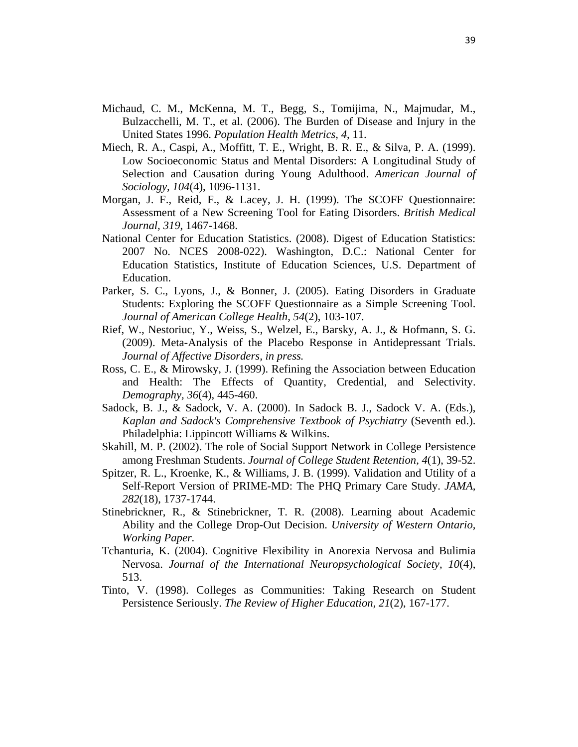- Michaud, C. M., McKenna, M. T., Begg, S., Tomijima, N., Majmudar, M., Bulzacchelli, M. T., et al. (2006). The Burden of Disease and Injury in the United States 1996. *Population Health Metrics, 4*, 11.
- Miech, R. A., Caspi, A., Moffitt, T. E., Wright, B. R. E., & Silva, P. A. (1999). Low Socioeconomic Status and Mental Disorders: A Longitudinal Study of Selection and Causation during Young Adulthood. *American Journal of Sociology, 104*(4), 1096-1131.
- Morgan, J. F., Reid, F., & Lacey, J. H. (1999). The SCOFF Questionnaire: Assessment of a New Screening Tool for Eating Disorders. *British Medical Journal, 319*, 1467-1468.
- National Center for Education Statistics. (2008). Digest of Education Statistics: 2007 No. NCES 2008-022). Washington, D.C.: National Center for Education Statistics, Institute of Education Sciences, U.S. Department of Education.
- Parker, S. C., Lyons, J., & Bonner, J. (2005). Eating Disorders in Graduate Students: Exploring the SCOFF Questionnaire as a Simple Screening Tool. *Journal of American College Health, 54*(2), 103-107.
- Rief, W., Nestoriuc, Y., Weiss, S., Welzel, E., Barsky, A. J., & Hofmann, S. G. (2009). Meta-Analysis of the Placebo Response in Antidepressant Trials. *Journal of Affective Disorders, in press.*
- Ross, C. E., & Mirowsky, J. (1999). Refining the Association between Education and Health: The Effects of Quantity, Credential, and Selectivity. *Demography, 36*(4), 445-460.
- Sadock, B. J., & Sadock, V. A. (2000). In Sadock B. J., Sadock V. A. (Eds.), *Kaplan and Sadock's Comprehensive Textbook of Psychiatry* (Seventh ed.). Philadelphia: Lippincott Williams & Wilkins.
- Skahill, M. P. (2002). The role of Social Support Network in College Persistence among Freshman Students. *Journal of College Student Retention, 4*(1), 39-52.
- Spitzer, R. L., Kroenke, K., & Williams, J. B. (1999). Validation and Utility of a Self-Report Version of PRIME-MD: The PHQ Primary Care Study. *JAMA, 282*(18), 1737-1744.
- Stinebrickner, R., & Stinebrickner, T. R. (2008). Learning about Academic Ability and the College Drop-Out Decision. *University of Western Ontario, Working Paper.*
- Tchanturia, K. (2004). Cognitive Flexibility in Anorexia Nervosa and Bulimia Nervosa. *Journal of the International Neuropsychological Society, 10*(4), 513.
- Tinto, V. (1998). Colleges as Communities: Taking Research on Student Persistence Seriously. *The Review of Higher Education, 21*(2), 167-177.